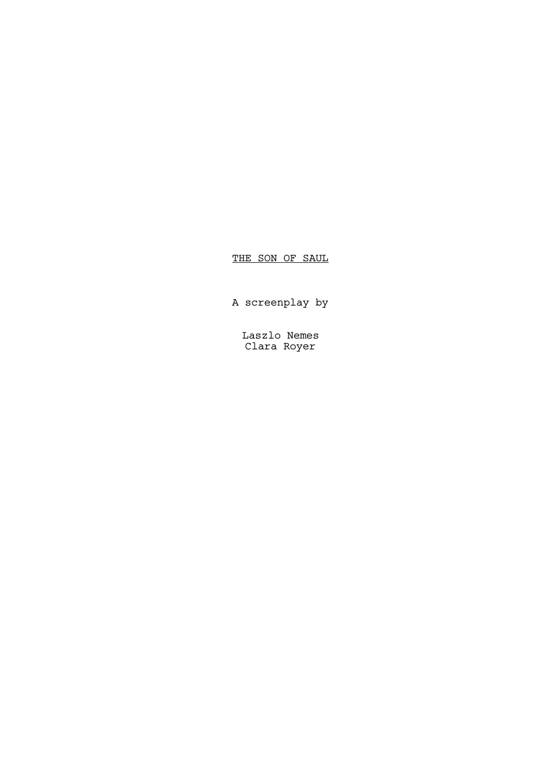# THE SON OF SAUL

A screenplay by

Laszlo Nemes Clara Royer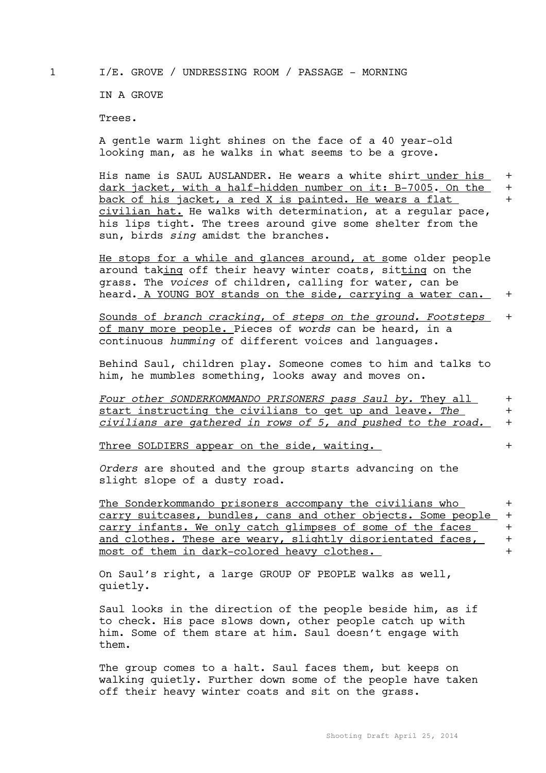1 I/E. GROVE / UNDRESSING ROOM / PASSAGE - MORNING

IN A GROVE

Trees.

A gentle warm light shines on the face of a 40 year-old looking man, as he walks in what seems to be a grove.

His name is SAUL AUSLANDER. He wears a white shirt under his + dark jacket, with a half-hidden number on it: B-7005. On the + back of his jacket, a red X is painted. He wears a flat + civilian hat. He walks with determination, at a regular pace, his lips tight. The trees around give some shelter from the sun, birds *sing* amidst the branches.

He stops for a while and glances around, at some older people around taking off their heavy winter coats, sitting on the grass. The *voices* of children, calling for water, can be heard. A YOUNG BOY stands on the side, carrying a water can. +

Sounds of *branch cracking*, of *steps on the ground. Footsteps* + of many more people. Pieces of *words* can be heard, in a continuous *humming* of different voices and languages.

Behind Saul, children play. Someone comes to him and talks to him, he mumbles something, looks away and moves on.

| Four other SONDERKOMMANDO PRISONERS pass Saul by. They all   |  |
|--------------------------------------------------------------|--|
| start instructing the civilians to get up and leave. The     |  |
| civilians are gathered in rows of 5, and pushed to the road. |  |

Three SOLDIERS appear on the side, waiting.  $+$ 

*Orders* are shouted and the group starts advancing on the slight slope of a dusty road.

The Sonderkommando prisoners accompany the civilians who + carry suitcases, bundles, cans and other objects. Some people + carry infants. We only catch glimpses of some of the faces  $+$ and clothes. These are weary, slightly disorientated faces,  $+$ most of them in dark-colored heavy clothes. +

On Saul's right, a large GROUP OF PEOPLE walks as well, quietly.

Saul looks in the direction of the people beside him, as if to check. His pace slows down, other people catch up with him. Some of them stare at him. Saul doesn't engage with them.

The group comes to a halt. Saul faces them, but keeps on walking quietly. Further down some of the people have taken off their heavy winter coats and sit on the grass.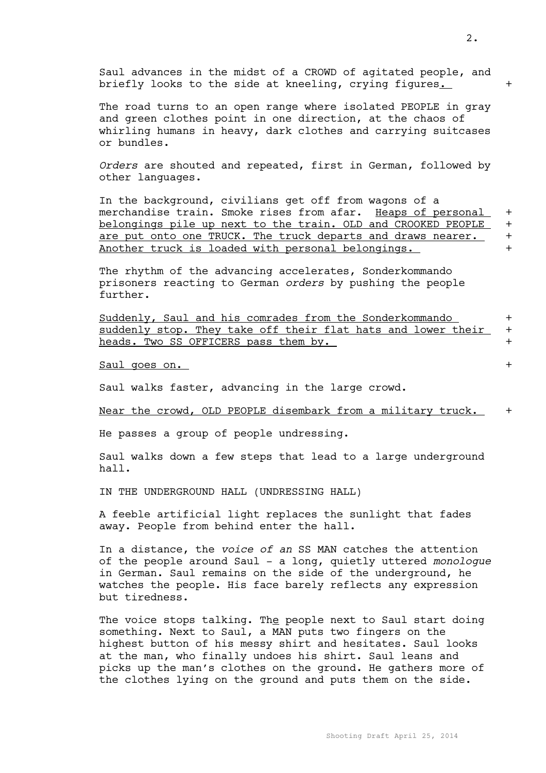| briefly looks to the side at kneeling, crying figures.                                                                                                                                                                                                                                                                                                                          | $\ddag$                                    |
|---------------------------------------------------------------------------------------------------------------------------------------------------------------------------------------------------------------------------------------------------------------------------------------------------------------------------------------------------------------------------------|--------------------------------------------|
| The road turns to an open range where isolated PEOPLE in gray<br>and green clothes point in one direction, at the chaos of<br>whirling humans in heavy, dark clothes and carrying suitcases<br>or bundles.                                                                                                                                                                      |                                            |
| Orders are shouted and repeated, first in German, followed by<br>other languages.                                                                                                                                                                                                                                                                                               |                                            |
| In the background, civilians get off from wagons of a<br>merchandise train. Smoke rises from afar. Heaps of personal<br>belongings pile up next to the train. OLD and CROOKED PEOPLE<br>are put onto one TRUCK. The truck departs and draws nearer.<br>Another truck is loaded with personal belongings.                                                                        | $\ddag$<br>$\ddag$<br>$\ddag$<br>$\ddot{}$ |
| The rhythm of the advancing accelerates, Sonderkommando<br>prisoners reacting to German orders by pushing the people<br>further.                                                                                                                                                                                                                                                |                                            |
| Suddenly, Saul and his comrades from the Sonderkommando<br>suddenly stop. They take off their flat hats and lower their<br>heads. Two SS OFFICERS pass them by.                                                                                                                                                                                                                 | $\ddag$<br>$\ddag$<br>$\ddag$              |
| Saul goes on.                                                                                                                                                                                                                                                                                                                                                                   | $\ddot{}$                                  |
| Saul walks faster, advancing in the large crowd.                                                                                                                                                                                                                                                                                                                                |                                            |
| Near the crowd, OLD PEOPLE disembark from a military truck.                                                                                                                                                                                                                                                                                                                     | $\ddag$                                    |
| He passes a group of people undressing.                                                                                                                                                                                                                                                                                                                                         |                                            |
| Saul walks down a few steps that lead to a large underground<br>hall.                                                                                                                                                                                                                                                                                                           |                                            |
| IN THE UNDERGROUND HALL (UNDRESSING HALL)                                                                                                                                                                                                                                                                                                                                       |                                            |
| A feeble artificial light replaces the sunlight that fades<br>away. People from behind enter the hall.                                                                                                                                                                                                                                                                          |                                            |
| In a distance, the voice of an SS MAN catches the attention<br>of the people around Saul - a long, quietly uttered monologue<br>in German. Saul remains on the side of the underground, he<br>watches the people. His face barely reflects any expression<br>but tiredness.                                                                                                     |                                            |
| The voice stops talking. The people next to Saul start doing<br>something. Next to Saul, a MAN puts two fingers on the<br>highest button of his messy shirt and hesitates. Saul looks<br>at the man, who finally undoes his shirt. Saul leans and<br>picks up the man's clothes on the ground. He gathers more of<br>the clothes lying on the ground and puts them on the side. |                                            |

Saul advances in the midst of a CROWD of agitated people, and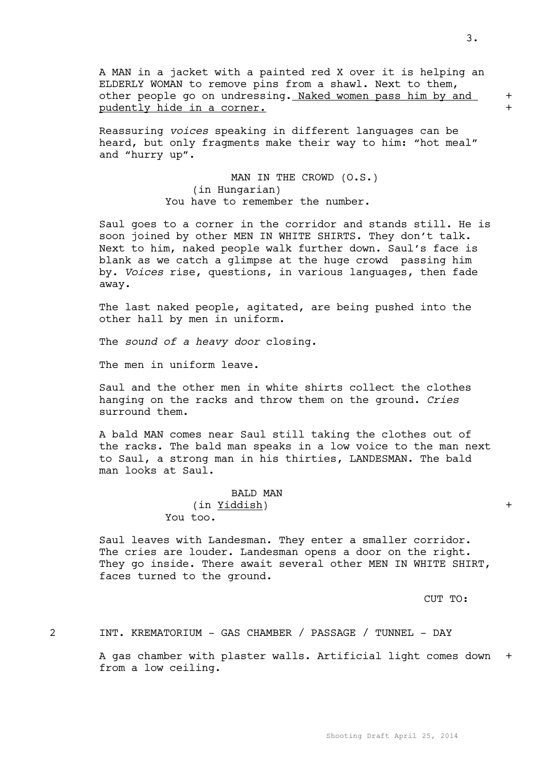A MAN in a jacket with a painted red X over it is helping an ELDERLY WOMAN to remove pins from a shawl. Next to them, other people go on undressing. Naked women pass him by and + pudently hide in a corner.

Reassuring *voices* speaking in different languages can be heard, but only fragments make their way to him: "hot meal" and "hurry up".

> MAN IN THE CROWD (O.S.) (in Hungarian) You have to remember the number.

Saul goes to a corner in the corridor and stands still. He is soon joined by other MEN IN WHITE SHIRTS. They don't talk. Next to him, naked people walk further down. Saul's face is blank as we catch a glimpse at the huge crowd passing him by. *Voices* rise, questions, in various languages, then fade away.

The last naked people, agitated, are being pushed into the other hall by men in uniform.

The *sound of a heavy door* closing.

The men in uniform leave.

Saul and the other men in white shirts collect the clothes hanging on the racks and throw them on the ground. *Cries* surround them.

A bald MAN comes near Saul still taking the clothes out of the racks. The bald man speaks in a low voice to the man next to Saul, a strong man in his thirties, LANDESMAN. The bald man looks at Saul.

> BALD MAN (in Yiddish) + You too.

Saul leaves with Landesman. They enter a smaller corridor. The cries are louder. Landesman opens a door on the right. They go inside. There await several other MEN IN WHITE SHIRT, faces turned to the ground.

CUT TO:

2 INT. KREMATORIUM - GAS CHAMBER / PASSAGE / TUNNEL - DAY

A gas chamber with plaster walls. Artificial light comes down + from a low ceiling.

3.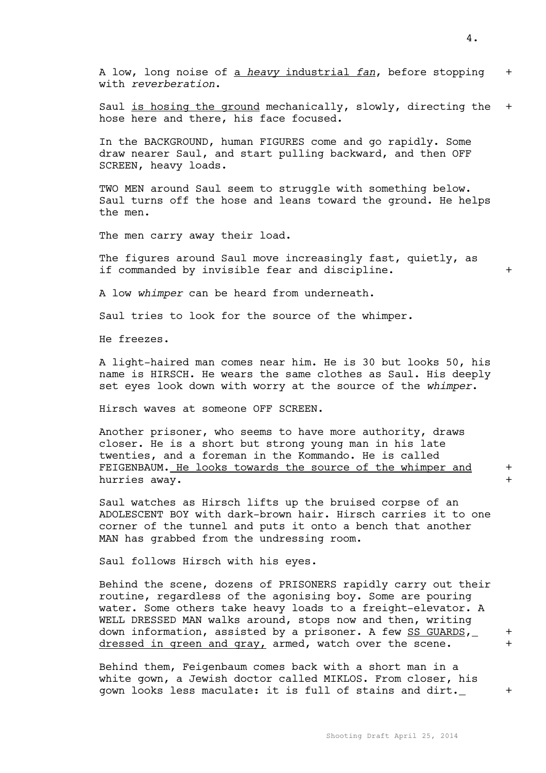4.

A low, long noise of a *heavy* industrial *fan*, before stopping + with *reverberation*.

Saul is hosing the ground mechanically, slowly, directing the + hose here and there, his face focused.

In the BACKGROUND, human FIGURES come and go rapidly. Some draw nearer Saul, and start pulling backward, and then OFF SCREEN, heavy loads.

TWO MEN around Saul seem to struggle with something below. Saul turns off the hose and leans toward the ground. He helps the men.

The men carry away their load.

The figures around Saul move increasingly fast, quietly, as if commanded by invisible fear and discipline.  $+$ 

A low *whimper* can be heard from underneath.

Saul tries to look for the source of the whimper.

He freezes.

A light-haired man comes near him. He is 30 but looks 50, his name is HIRSCH. He wears the same clothes as Saul. His deeply set eyes look down with worry at the source of the *whimper*.

Hirsch waves at someone OFF SCREEN.

Another prisoner, who seems to have more authority, draws closer. He is a short but strong young man in his late twenties, and a foreman in the Kommando. He is called FEIGENBAUM. He looks towards the source of the whimper and + hurries away.

Saul watches as Hirsch lifts up the bruised corpse of an ADOLESCENT BOY with dark-brown hair. Hirsch carries it to one corner of the tunnel and puts it onto a bench that another MAN has grabbed from the undressing room.

Saul follows Hirsch with his eyes.

Behind the scene, dozens of PRISONERS rapidly carry out their routine, regardless of the agonising boy. Some are pouring water. Some others take heavy loads to a freight-elevator. A WELL DRESSED MAN walks around, stops now and then, writing down information, assisted by a prisoner. A few SS GUARDS, + dressed in green and gray, armed, watch over the scene.

Behind them, Feigenbaum comes back with a short man in a white gown, a Jewish doctor called MIKLOS. From closer, his gown looks less maculate: it is full of stains and dirt. \_ +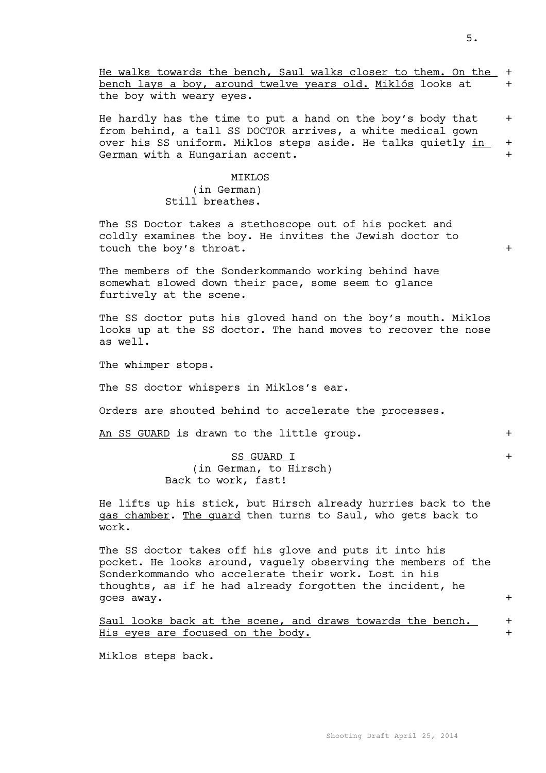He walks towards the bench, Saul walks closer to them. On the + bench lays a boy, around twelve years old. Miklós looks at + the boy with weary eyes.

He hardly has the time to put a hand on the boy's body that  $+$ from behind, a tall SS DOCTOR arrives, a white medical gown over his SS uniform. Miklos steps aside. He talks quietly in + German with a Hungarian accent.  $+$ 

### MIKLOS (in German) Still breathes.

The SS Doctor takes a stethoscope out of his pocket and coldly examines the boy. He invites the Jewish doctor to touch the boy's throat. +

The members of the Sonderkommando working behind have somewhat slowed down their pace, some seem to glance furtively at the scene.

The SS doctor puts his gloved hand on the boy's mouth. Miklos looks up at the SS doctor. The hand moves to recover the nose as well.

The whimper stops.

The SS doctor whispers in Miklos's ear.

Orders are shouted behind to accelerate the processes.

An SS GUARD is drawn to the little group.  $+$ 

### SS GUARD I +

(in German, to Hirsch) Back to work, fast!

He lifts up his stick, but Hirsch already hurries back to the gas chamber. The guard then turns to Saul, who gets back to work.

The SS doctor takes off his glove and puts it into his pocket. He looks around, vaguely observing the members of the Sonderkommando who accelerate their work. Lost in his thoughts, as if he had already forgotten the incident, he goes away.  $+$ 

Saul looks back at the scene, and draws towards the bench. + His eyes are focused on the body. +

Miklos steps back.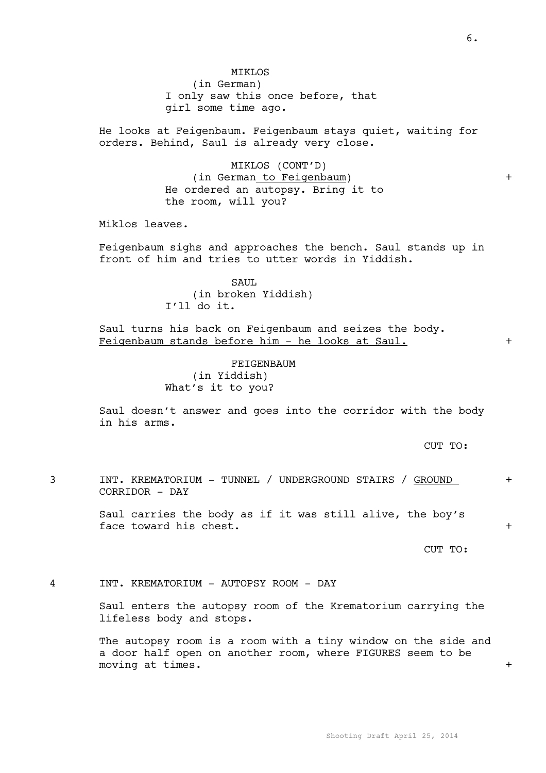girl some time ago.

He looks at Feigenbaum. Feigenbaum stays quiet, waiting for orders. Behind, Saul is already very close.

> MIKLOS (CONT'D) (in German to Feigenbaum) + He ordered an autopsy. Bring it to the room, will you?

Miklos leaves.

Feigenbaum sighs and approaches the bench. Saul stands up in front of him and tries to utter words in Yiddish.

> SAUL (in broken Yiddish) I'll do it.

Saul turns his back on Feigenbaum and seizes the body. Feigenbaum stands before him - he looks at Saul. +

> FEIGENBAUM (in Yiddish) What's it to you?

Saul doesn't answer and goes into the corridor with the body in his arms.

CUT TO:

3 INT. KREMATORIUM - TUNNEL / UNDERGROUND STAIRS / GROUND + CORRIDOR - DAY

> Saul carries the body as if it was still alive, the boy's face toward his chest.  $+$

> > CUT TO:

4 INT. KREMATORIUM - AUTOPSY ROOM - DAY

Saul enters the autopsy room of the Krematorium carrying the lifeless body and stops.

The autopsy room is a room with a tiny window on the side and a door half open on another room, where FIGURES seem to be moving at times.  $+$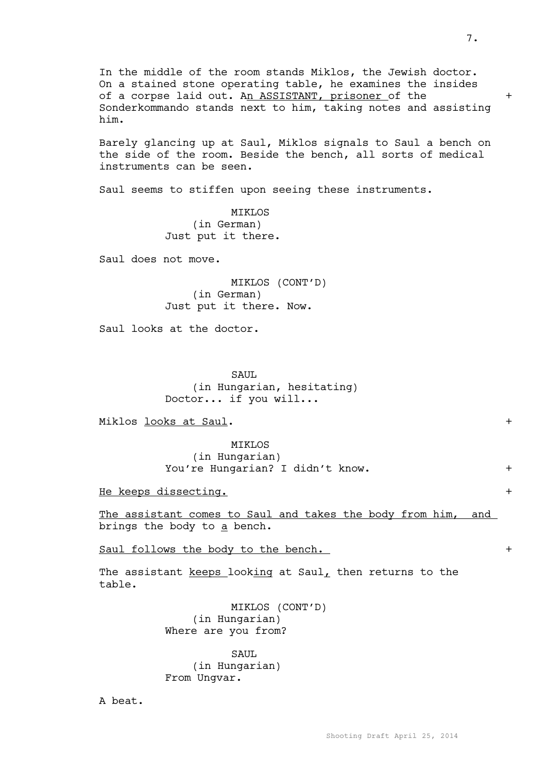In the middle of the room stands Miklos, the Jewish doctor. On a stained stone operating table, he examines the insides of a corpse laid out. An ASSISTANT, prisoner of the  $+$ Sonderkommando stands next to him, taking notes and assisting him.

Barely glancing up at Saul, Miklos signals to Saul a bench on the side of the room. Beside the bench, all sorts of medical instruments can be seen.

Saul seems to stiffen upon seeing these instruments.

**MTKLOS** (in German) Just put it there.

Saul does not move.

MIKLOS (CONT'D) (in German) Just put it there. Now.

Saul looks at the doctor.

SAUL (in Hungarian, hesitating) Doctor... if you will...

Miklos looks at Saul. +

MIKLOS (in Hungarian) You're Hungarian? I didn't know. +

He keeps dissecting. +

The assistant comes to Saul and takes the body from him, and brings the body to a bench.

Saul follows the body to the bench. +

The assistant keeps looking at Saul, then returns to the table.

> MIKLOS (CONT'D) (in Hungarian) Where are you from?

SAUL (in Hungarian) From Ungvar.

A beat.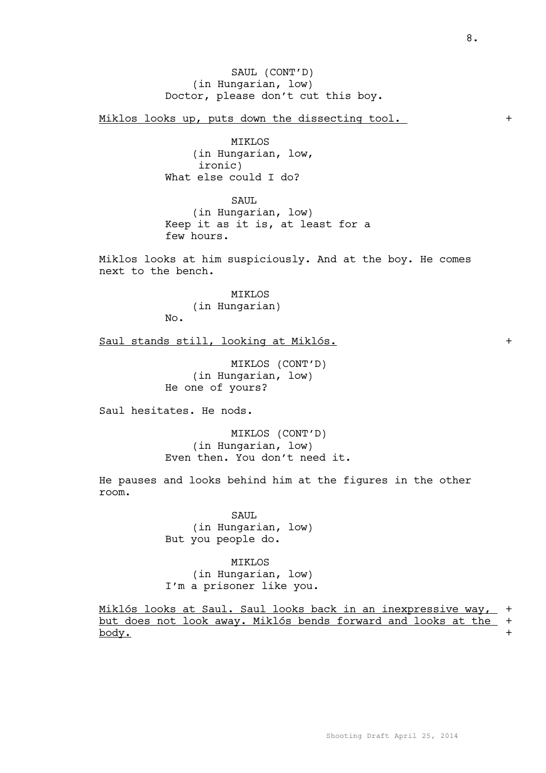SAUL (CONT'D) (in Hungarian, low) Doctor, please don't cut this boy.

Miklos looks up, puts down the dissecting tool.  $+$ 

MIKLOS (in Hungarian, low, ironic) What else could I do?

SAUL (in Hungarian, low) Keep it as it is, at least for a few hours.

Miklos looks at him suspiciously. And at the boy. He comes next to the bench.

> MIKLOS (in Hungarian)

No.

Saul stands still, looking at Miklós. +

MIKLOS (CONT'D) (in Hungarian, low) He one of yours?

Saul hesitates. He nods.

MIKLOS (CONT'D) (in Hungarian, low) Even then. You don't need it.

He pauses and looks behind him at the figures in the other room.

> SAUL (in Hungarian, low) But you people do.

MIKLOS (in Hungarian, low) I'm a prisoner like you.

Miklós looks at Saul. Saul looks back in an inexpressive way, + but does not look away. Miklós bends forward and looks at the + body. +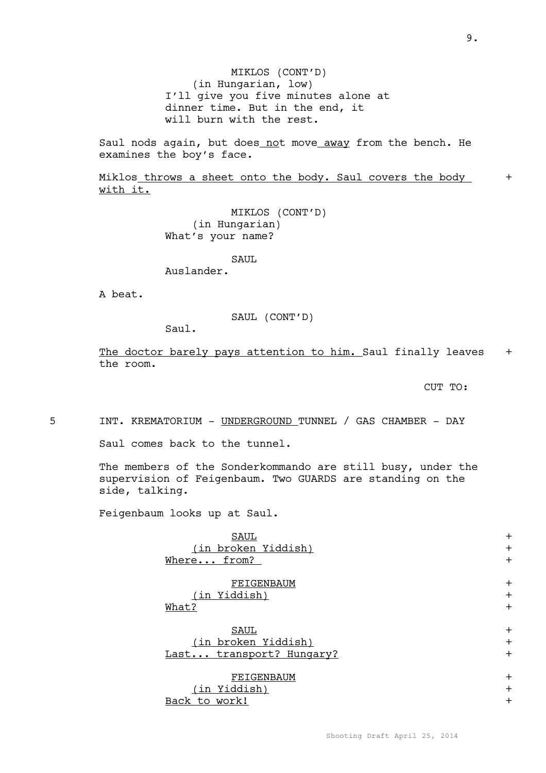MIKLOS (CONT'D) (in Hungarian, low) I'll give you five minutes alone at dinner time. But in the end, it will burn with the rest.

Saul nods again, but does not move away from the bench. He examines the boy's face.

Miklos throws a sheet onto the body. Saul covers the body + with it.

> MIKLOS (CONT'D) (in Hungarian) What's your name?

> > SAUL.

Auslander.

A beat.

SAUL (CONT'D)

Saul.

The doctor barely pays attention to him. Saul finally leaves + the room.

CUT TO:

5 INT. KREMATORIUM - UNDERGROUND TUNNEL / GAS CHAMBER - DAY

Saul comes back to the tunnel.

The members of the Sonderkommando are still busy, under the supervision of Feigenbaum. Two GUARDS are standing on the side, talking.

Feigenbaum looks up at Saul.

| <b>SAUL</b>              | $\div$    |
|--------------------------|-----------|
| (in broken Yiddish)      | $+$       |
| Where from?              | $+$       |
| FEIGENBAUM               | $\div$    |
| (in Yiddish)             | $\ddot{}$ |
| What?                    | $+$       |
| SAUL                     | $\div$    |
| (in broken Yiddish)      | $+$       |
| Last transport? Hungary? | $+$       |
| FEIGENBAUM               | $\pm$     |
| (in Yiddish)             | $+$       |
| Back to work!            | $\div$    |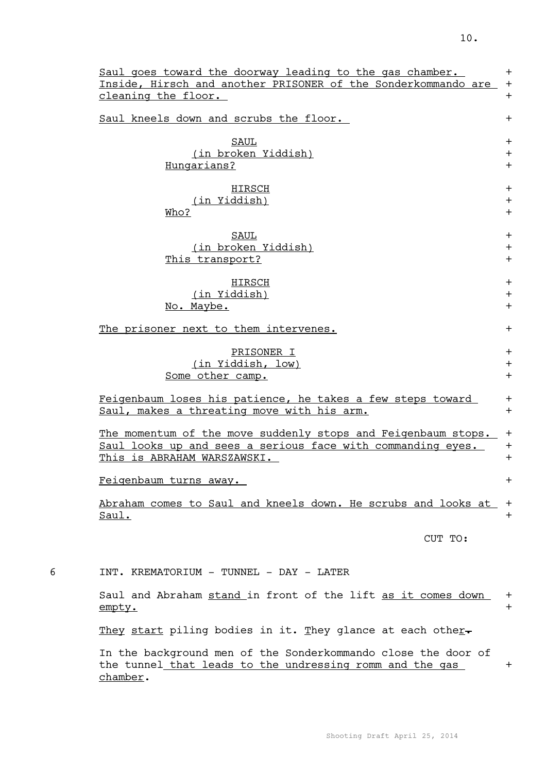|   | Saul goes toward the doorway leading to the gas chamber.                                                                              | $+$          |
|---|---------------------------------------------------------------------------------------------------------------------------------------|--------------|
|   | Inside, Hirsch and another PRISONER of the Sonderkommando are<br>cleaning the floor.                                                  | $+$<br>$+$   |
|   |                                                                                                                                       |              |
|   | Saul kneels down and scrubs the floor.                                                                                                | $+$          |
|   | SAUL                                                                                                                                  | $+$          |
|   | (in broken Yiddish)                                                                                                                   | $+$          |
|   | Hungarians?                                                                                                                           | $+$          |
|   |                                                                                                                                       |              |
|   | HIRSCH<br>(in Yiddish)                                                                                                                | $\pm$<br>$+$ |
|   | Who?                                                                                                                                  | $+$          |
|   |                                                                                                                                       |              |
|   | SAUL                                                                                                                                  | $+$          |
|   | (in broken Yiddish)                                                                                                                   | $+$          |
|   | This transport?                                                                                                                       | $+$          |
|   |                                                                                                                                       |              |
|   | HIRSCH<br>(in Yiddish)                                                                                                                | $+$<br>$+$   |
|   | No. Maybe.                                                                                                                            | $+$          |
|   |                                                                                                                                       |              |
|   | The prisoner next to them intervenes.                                                                                                 | $+$          |
|   | PRISONER I                                                                                                                            | $+$          |
|   | (in Yiddish, low)                                                                                                                     | $+$          |
|   | Some other camp.                                                                                                                      | $+$          |
|   |                                                                                                                                       |              |
|   | Feigenbaum loses his patience, he takes a few steps toward<br>Saul, makes a threating move with his arm.                              | $+$<br>$+$   |
|   |                                                                                                                                       |              |
|   | The momentum of the move suddenly stops and Feigenbaum stops.                                                                         | $\ddag$      |
|   | Saul looks up and sees a serious face with commanding eyes.                                                                           | $+$          |
|   | This is ABRAHAM WARSZAWSKI.                                                                                                           | $+$          |
|   | Feigenbaum turns away.                                                                                                                | $+$          |
|   | Abraham comes to Saul and kneels down. He scrubs and looks at                                                                         | $\pm$        |
|   | Saul.                                                                                                                                 | $\pm$        |
|   |                                                                                                                                       |              |
|   | CUT TO:                                                                                                                               |              |
|   |                                                                                                                                       |              |
| 6 | INT. KREMATORIUM - TUNNEL - DAY - LATER                                                                                               |              |
|   | Saul and Abraham stand in front of the lift as it comes down<br>empty.                                                                | $+$<br>$+$   |
|   | They start piling bodies in it. They glance at each other-                                                                            |              |
|   | In the background men of the Sonderkommando close the door of<br>the tunnel that leads to the undressing romm and the gas<br>chamber. | $\pm$        |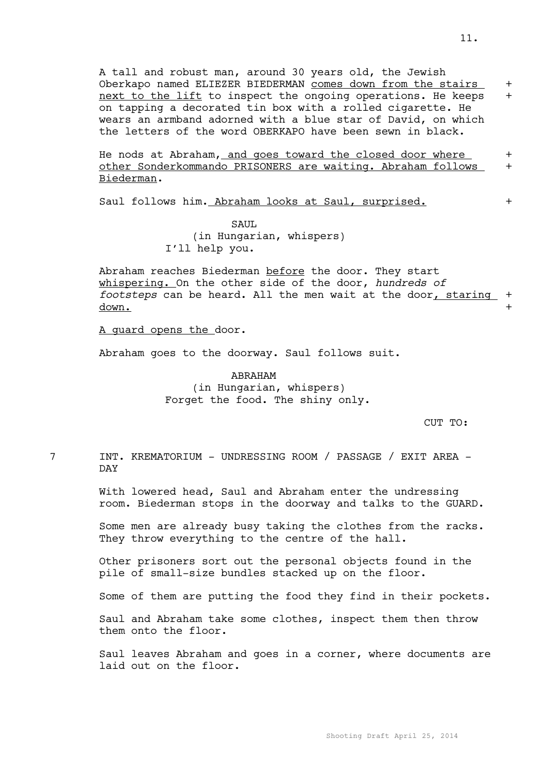A tall and robust man, around 30 years old, the Jewish Oberkapo named ELIEZER BIEDERMAN comes down from the stairs + next to the lift to inspect the ongoing operations. He keeps + on tapping a decorated tin box with a rolled cigarette. He wears an armband adorned with a blue star of David, on which the letters of the word OBERKAPO have been sewn in black.

He nods at Abraham, and goes toward the closed door where + other Sonderkommando PRISONERS are waiting. Abraham follows + Biederman.

Saul follows him. Abraham looks at Saul, surprised.  $+$ 

SAUL (in Hungarian, whispers) I'll help you.

Abraham reaches Biederman before the door. They start whispering. On the other side of the door, *hundreds of footsteps* can be heard. All the men wait at the door, staring + down. +

A guard opens the door.

Abraham goes to the doorway. Saul follows suit.

ABRAHAM (in Hungarian, whispers) Forget the food. The shiny only.

CUT TO:

7 INT. KREMATORIUM - UNDRESSING ROOM / PASSAGE / EXIT AREA - DAY

> With lowered head, Saul and Abraham enter the undressing room. Biederman stops in the doorway and talks to the GUARD.

> Some men are already busy taking the clothes from the racks. They throw everything to the centre of the hall.

Other prisoners sort out the personal objects found in the pile of small-size bundles stacked up on the floor.

Some of them are putting the food they find in their pockets.

Saul and Abraham take some clothes, inspect them then throw them onto the floor.

Saul leaves Abraham and goes in a corner, where documents are laid out on the floor.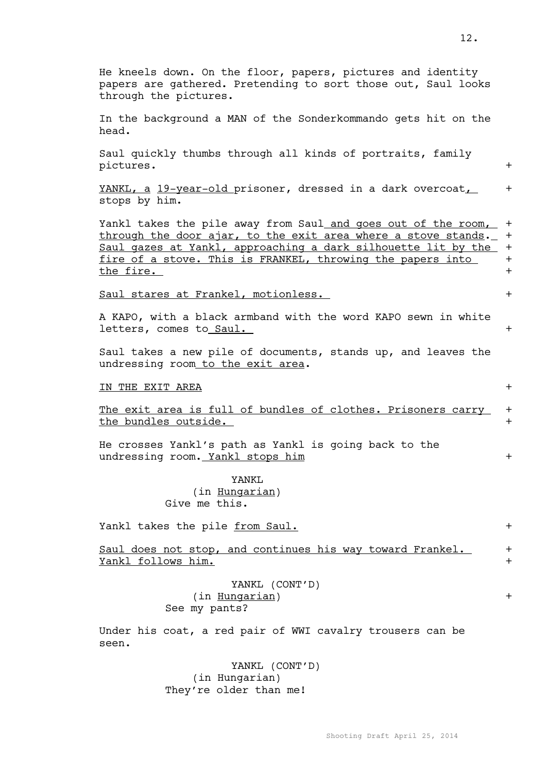| He kneels down. On the floor, papers, pictures and identity<br>papers are gathered. Pretending to sort those out, Saul looks<br>through the pictures.                                                                                                                             |                                 |
|-----------------------------------------------------------------------------------------------------------------------------------------------------------------------------------------------------------------------------------------------------------------------------------|---------------------------------|
| In the background a MAN of the Sonderkommando gets hit on the<br>head.                                                                                                                                                                                                            |                                 |
| Saul quickly thumbs through all kinds of portraits, family<br>pictures.                                                                                                                                                                                                           | $+$                             |
| YANKL, a 19-year-old prisoner, dressed in a dark overcoat,<br>stops by him.                                                                                                                                                                                                       | $+$                             |
| Yankl takes the pile away from Saul and goes out of the room,<br>through the door ajar, to the exit area where a stove stands.<br>Saul gazes at Yankl, approaching a dark silhouette lit by the<br>fire of a stove. This is FRANKEL, throwing the papers into<br><u>the fire.</u> | $+$<br>$+$<br>$+$<br>$+$<br>$+$ |
| Saul stares at Frankel, motionless.                                                                                                                                                                                                                                               | $+$                             |
| A KAPO, with a black armband with the word KAPO sewn in white<br>letters, comes to Saul.                                                                                                                                                                                          | $+$                             |
| Saul takes a new pile of documents, stands up, and leaves the<br>undressing room to the exit area.                                                                                                                                                                                |                                 |
| IN THE EXIT AREA                                                                                                                                                                                                                                                                  | $+$                             |
| The exit area is full of bundles of clothes. Prisoners carry<br>the bundles outside.                                                                                                                                                                                              | $+$<br>$+$                      |
| He crosses Yankl's path as Yankl is going back to the<br>undressing room. Yankl stops him                                                                                                                                                                                         | $+$                             |
| YANKL<br>(in Hungarian)<br>Give me this.                                                                                                                                                                                                                                          |                                 |
| Yankl takes the pile from Saul.                                                                                                                                                                                                                                                   | $+$                             |
| Saul does not stop, and continues his way toward Frankel.<br>Yankl follows him.                                                                                                                                                                                                   | $+$<br>$+$                      |
| YANKL (CONT'D)<br>(in Hungarian)<br>See my pants?                                                                                                                                                                                                                                 | $\ddag$                         |
| Under his coat, a red pair of WWI cavalry trousers can be<br>seen.                                                                                                                                                                                                                |                                 |
|                                                                                                                                                                                                                                                                                   |                                 |

YANKL (CONT'D) (in Hungarian) They're older than me!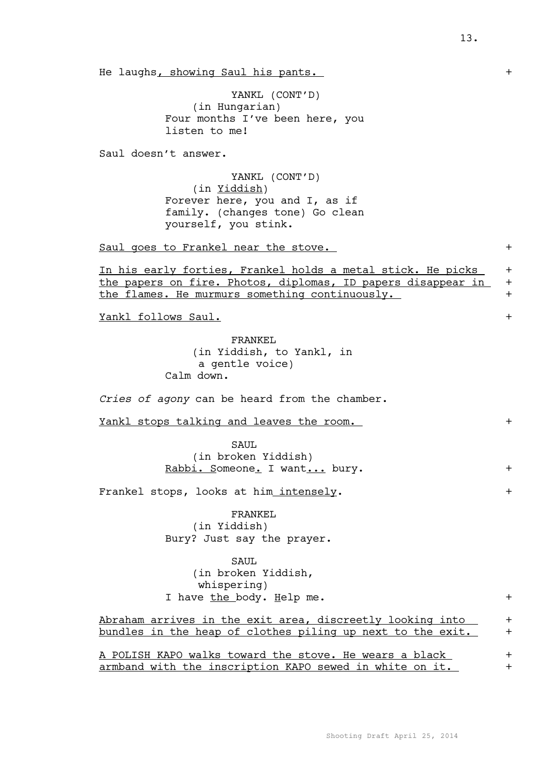He laughs, showing Saul his pants.  $+$ 

YANKL (CONT'D) (in Hungarian) Four months I've been here, you listen to me!

Saul doesn't answer.

YANKL (CONT'D) (in Yiddish) Forever here, you and I, as if family. (changes tone) Go clean yourself, you stink.

Saul goes to Frankel near the stove.  $+$ 

In his early forties, Frankel holds a metal stick. He picks + the papers on fire. Photos, diplomas, ID papers disappear in + the flames. He murmurs something continuously.  $+$ 

Yankl follows Saul. +

FRANKEL (in Yiddish, to Yankl, in a gentle voice) Calm down.

*Cries of agony* can be heard from the chamber.

Yankl stops talking and leaves the room. +

SAUL (in broken Yiddish) Rabbi. Someone. I want... bury. +

Frankel stops, looks at him intensely. +

FRANKEL (in Yiddish) Bury? Just say the prayer.

SAUL

(in broken Yiddish, whispering) I have the body. Help me. +

Abraham arrives in the exit area, discreetly looking into  $+$ bundles in the heap of clothes piling up next to the exit. +

A POLISH KAPO walks toward the stove. He wears a black + armband with the inscription KAPO sewed in white on it. +

13.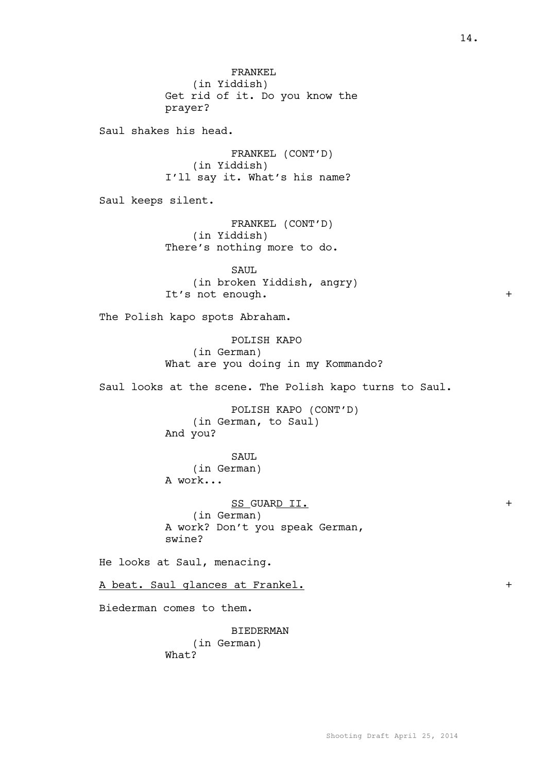FRANKEL (in Yiddish) Get rid of it. Do you know the prayer? Saul shakes his head. FRANKEL (CONT'D) (in Yiddish) I'll say it. What's his name? Saul keeps silent. FRANKEL (CONT'D) (in Yiddish) There's nothing more to do. SAUL. (in broken Yiddish, angry) It's not enough.  $+$ The Polish kapo spots Abraham. POLISH KAPO (in German) What are you doing in my Kommando? Saul looks at the scene. The Polish kapo turns to Saul. POLISH KAPO (CONT'D) (in German, to Saul) And you? SAUL (in German) A work... SS GUARD II.  $+$ (in German) A work? Don't you speak German, swine? He looks at Saul, menacing. A beat. Saul glances at Frankel.  $+$ Biederman comes to them. BIEDERMAN (in German) What?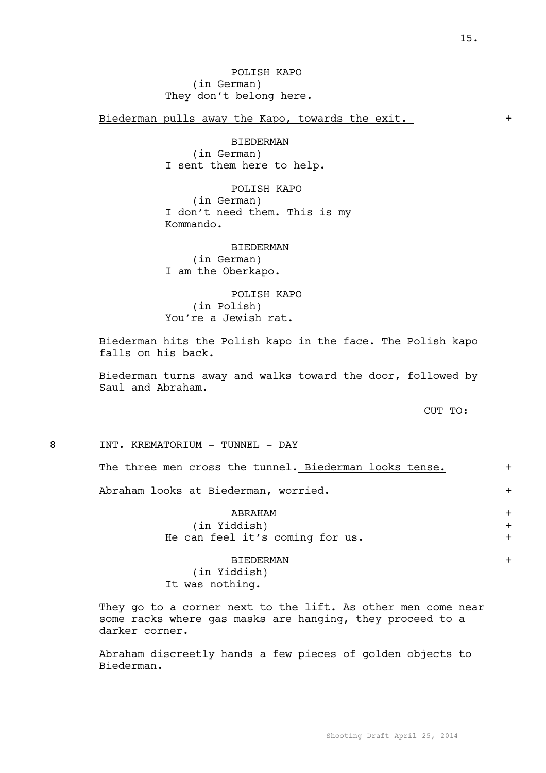Biederman pulls away the Kapo, towards the exit. +

BIEDERMAN (in German) I sent them here to help.

POLISH KAPO (in German) I don't need them. This is my Kommando.

BIEDERMAN (in German) I am the Oberkapo.

POLISH KAPO (in Polish) You're a Jewish rat.

Biederman hits the Polish kapo in the face. The Polish kapo falls on his back.

Biederman turns away and walks toward the door, followed by Saul and Abraham.

CUT TO:

8 INT. KREMATORIUM - TUNNEL - DAY

The three men cross the tunnel. Biederman looks tense. +

Abraham looks at Biederman, worried. +

ABRAHAM + (in Yiddish) + He can feel it's coming for us. +

BIEDERMAN + (in Yiddish) It was nothing.

They go to a corner next to the lift. As other men come near some racks where gas masks are hanging, they proceed to a darker corner.

Abraham discreetly hands a few pieces of golden objects to Biederman.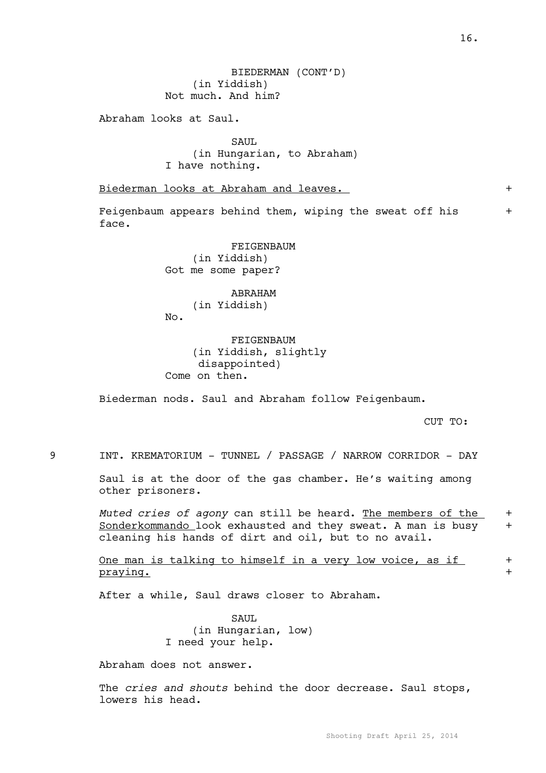BIEDERMAN (CONT'D) (in Yiddish) Not much. And him?

Abraham looks at Saul.

SAUL (in Hungarian, to Abraham) I have nothing.

Biederman looks at Abraham and leaves.  $+$ 

Feigenbaum appears behind them, wiping the sweat off his  $+$ face.

> FEIGENBAUM (in Yiddish) Got me some paper?

# ABRAHAM (in Yiddish)

No.

FEIGENBAUM (in Yiddish, slightly disappointed) Come on then.

Biederman nods. Saul and Abraham follow Feigenbaum.

CUT TO:

9 INT. KREMATORIUM - TUNNEL / PASSAGE / NARROW CORRIDOR - DAY

Saul is at the door of the gas chamber. He's waiting among other prisoners.

*Muted cries of agony* can still be heard. The members of the + Sonderkommando look exhausted and they sweat. A man is busy + cleaning his hands of dirt and oil, but to no avail.

One man is talking to himself in a very low voice, as if  $+$ praying. +

After a while, Saul draws closer to Abraham.

SAUL (in Hungarian, low) I need your help.

Abraham does not answer.

The *cries and shouts* behind the door decrease. Saul stops, lowers his head.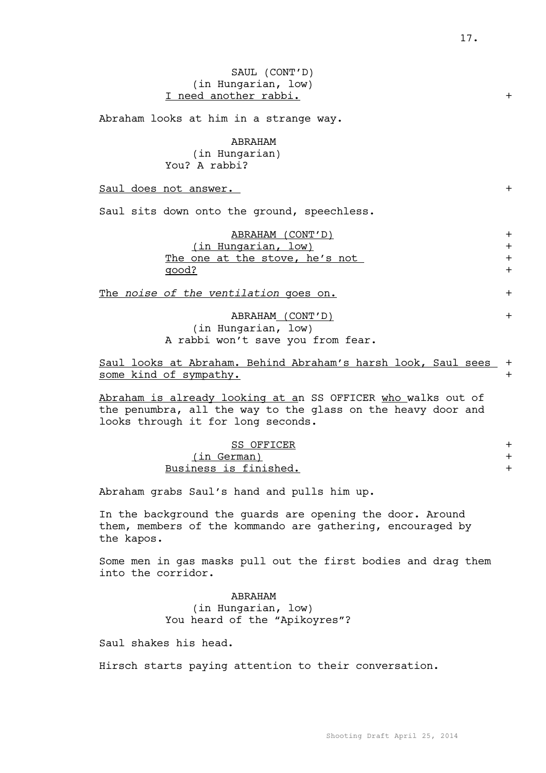# SAUL (CONT'D) (in Hungarian, low) I need another rabbi. +

Abraham looks at him in a strange way.

ABRAHAM

(in Hungarian) You? A rabbi?

Saul does not answer.  $+$ 

Saul sits down onto the ground, speechless.

| ABRAHAM (CONT'D)               |  |
|--------------------------------|--|
| (in Hungarian, low)            |  |
| The one at the stove, he's not |  |
| qood?                          |  |
|                                |  |

The *noise of the ventilation* goes on.  $+$ 

ABRAHAM (CONT'D) + (in Hungarian, low) A rabbi won't save you from fear.

Saul looks at Abraham. Behind Abraham's harsh look, Saul sees + some kind of sympathy.  $+$ 

Abraham is already looking at an SS OFFICER who walks out of the penumbra, all the way to the glass on the heavy door and looks through it for long seconds.

### SS OFFICER +

(in German) + Business is finished.  $+$ 

Abraham grabs Saul's hand and pulls him up.

In the background the guards are opening the door. Around them, members of the kommando are gathering, encouraged by the kapos.

Some men in gas masks pull out the first bodies and drag them into the corridor.

## ABRAHAM (in Hungarian, low) You heard of the "Apikoyres"?

Saul shakes his head.

Hirsch starts paying attention to their conversation.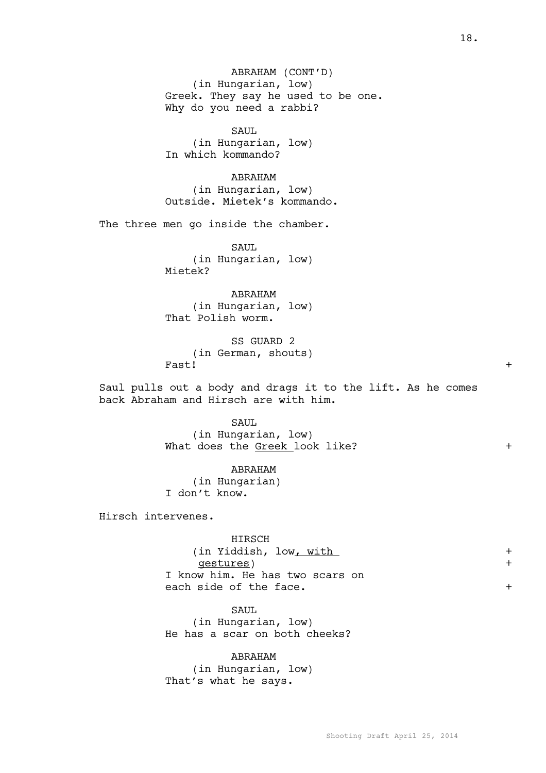ABRAHAM (CONT'D) (in Hungarian, low) Greek. They say he used to be one. Why do you need a rabbi?

SAUL (in Hungarian, low) In which kommando?

ABRAHAM (in Hungarian, low) Outside. Mietek's kommando.

The three men go inside the chamber.

SAUL (in Hungarian, low) Mietek?

ABRAHAM (in Hungarian, low) That Polish worm.

SS GUARD 2 (in German, shouts) Fast! +

Saul pulls out a body and drags it to the lift. As he comes back Abraham and Hirsch are with him.

> SAUL (in Hungarian, low) What does the Greek look like? +

ABRAHAM (in Hungarian) I don't know.

Hirsch intervenes.

HIRSCH (in Yiddish, low<u>, with</u> + gestures) + I know him. He has two scars on each side of the face.  $+$ 

SAUL (in Hungarian, low) He has a scar on both cheeks?

ABRAHAM (in Hungarian, low) That's what he says.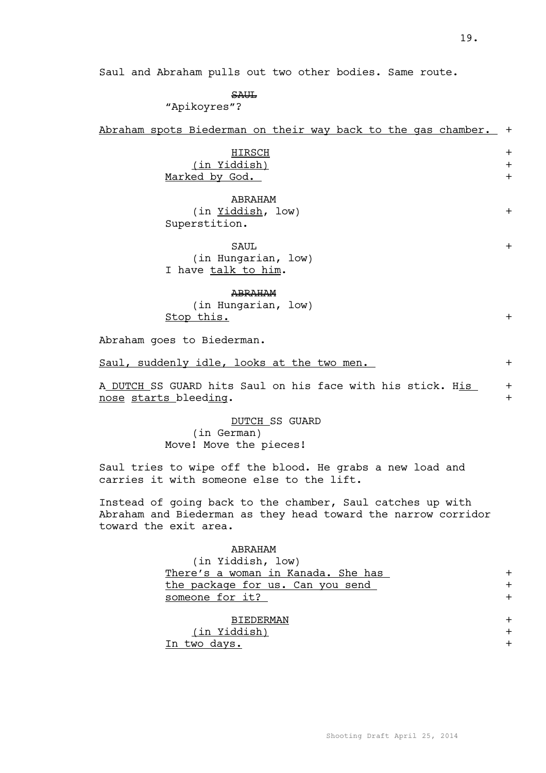Saul and Abraham pulls out two other bodies. Same route.

SAUL

"Apikoyres"?

|  | Abraham spots Biederman on their way back to the gas chamber. + |  |  |  |  |  |
|--|-----------------------------------------------------------------|--|--|--|--|--|
|  |                                                                 |  |  |  |  |  |

| HIRSCH         |  |
|----------------|--|
| (in Yiddish)   |  |
| Marked by God. |  |

| ABRAHAM           |  |
|-------------------|--|
| (in Yiddish, low) |  |
| Superstition.     |  |

| SAUL.               |  |
|---------------------|--|
| (in Hungarian, low) |  |
| I have talk to him. |  |

#### ABRAHAM

(in Hungarian, low) Stop this.  $+$ 

Abraham goes to Biederman.

Saul, suddenly idle, looks at the two men. +

A DUTCH SS GUARD hits Saul on his face with his stick. His nose starts bleeding. +

> DUTCH SS GUARD (in German) Move! Move the pieces!

Saul tries to wipe off the blood. He grabs a new load and carries it with someone else to the lift.

Instead of going back to the chamber, Saul catches up with Abraham and Biederman as they head toward the narrow corridor toward the exit area.

| ABRAHAM                            |        |
|------------------------------------|--------|
| (in Yiddish, low)                  |        |
| There's a woman in Kanada. She has |        |
| the package for us. Can you send   |        |
| someone for it?                    |        |
|                                    |        |
| <b>BIEDERMAN</b>                   |        |
| (in Yiddish)                       | $\div$ |
| two days.<br>Tn.                   |        |
|                                    |        |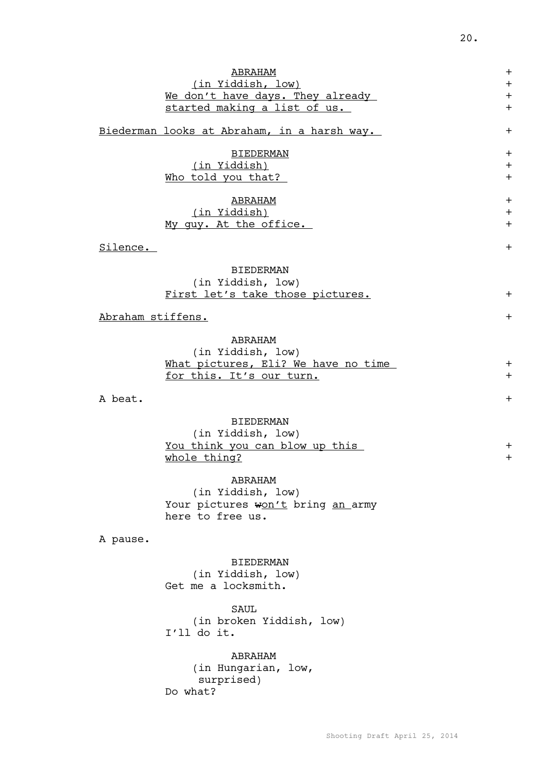|                   | ABRAHAM                                     | $\pm$ |
|-------------------|---------------------------------------------|-------|
|                   | (in Yiddish, low)                           | $+$   |
|                   | We don't have days. They already            | $+$   |
|                   | started making a list of us.                | $+$   |
|                   |                                             |       |
|                   | Biederman looks at Abraham, in a harsh way. | $+$   |
|                   |                                             |       |
|                   | <b>BIEDERMAN</b>                            | $\pm$ |
|                   | (in Yiddish)                                | $+$   |
|                   | Who told you that?                          | $+$   |
|                   | ABRAHAM                                     | $+$   |
|                   | (in Yiddish)                                | $+$   |
|                   | My guy. At the office.                      | $+$   |
|                   |                                             |       |
| Silence.          |                                             | $+$   |
|                   |                                             |       |
|                   | <b>BIEDERMAN</b>                            |       |
|                   | (in Yiddish, low)                           |       |
|                   | First let's take those pictures.            | $+$   |
|                   |                                             |       |
| Abraham stiffens. |                                             | $+$   |
|                   |                                             |       |
|                   | ABRAHAM                                     |       |
|                   | (in Yiddish, low)                           |       |
|                   | What pictures, Eli? We have no time         | $+$   |
|                   | for this. It's our turn.                    | $+$   |
| A beat.           |                                             | $+$   |
|                   |                                             |       |
|                   | <b>BIEDERMAN</b>                            |       |
|                   | (in Yiddish, low)                           |       |
|                   | <u>You think you can blow up this</u>       | $+$   |
|                   | whole thing?                                | $\pm$ |
|                   |                                             |       |
|                   | ABRAHAM                                     |       |
|                   | (in Yiddish, low)                           |       |
|                   | Your pictures won't bring an army           |       |
|                   | here to free us.                            |       |
|                   |                                             |       |
| A pause.          |                                             |       |
|                   |                                             |       |
|                   | <b>BIEDERMAN</b>                            |       |
|                   | (in Yiddish, low)                           |       |
|                   | Get me a locksmith.                         |       |
|                   | <b>SAUL</b>                                 |       |
|                   |                                             |       |

(in broken Yiddish, low) I'll do it.

ABRAHAM (in Hungarian, low, surprised) Do what?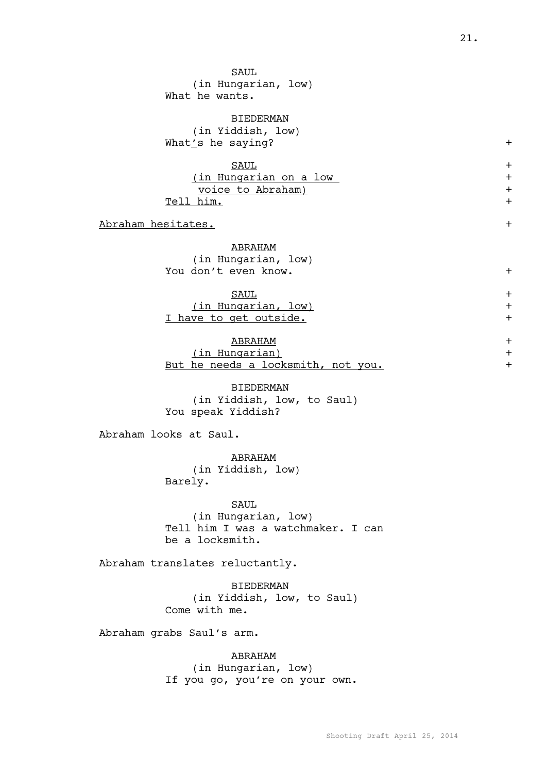| <b>SAUL</b><br>(in Hungarian, low)<br>What he wants.                                         |                                            |
|----------------------------------------------------------------------------------------------|--------------------------------------------|
| <b>BIEDERMAN</b><br>(in Yiddish, low)<br>What's he saying?                                   | $+$                                        |
| <b>SAUL</b><br><u>(in Hungarian on a low</u><br><u>voice to Abraham)</u><br><u>Tell him.</u> | $\ddag$<br>$\ddag$<br>$\ddot{}$<br>$\ddag$ |
| <u> Abraham hesitates.</u>                                                                   | $\ddag$                                    |
| ABRAHAM<br>(in Hungarian, low)<br>You don't even know.                                       | $\ddag$                                    |
| <b>SAUL</b><br>(in Hungarian, low)<br>I have to get outside.                                 | $\ddag$<br>$\ddag$<br>$\ddag$              |
| <b>ABRAHAM</b><br>(in Hungarian)<br>But he needs a locksmith, not you.                       | $+$<br>$\ddag$<br>$\ddag$                  |
| <b>BIEDERMAN</b><br>(in Yiddish, low, to Saul)<br>You speak Yiddish?                         |                                            |
| Abraham looks at Saul.                                                                       |                                            |
| ABRAHAM<br>(in Yiddish, low)<br>Barely.                                                      |                                            |
| SAUL<br>(in Hungarian, low)<br>Tell him I was a watchmaker. I can<br>be a locksmith.         |                                            |
| Abraham translates reluctantly.                                                              |                                            |
| <b>BIEDERMAN</b><br>(in Yiddish, low, to Saul)<br>Come with me.                              |                                            |
| Abraham grabs Saul's arm.                                                                    |                                            |
| ABRAHAM<br>(in Hungarian, low)<br>If you go, you're on your own.                             |                                            |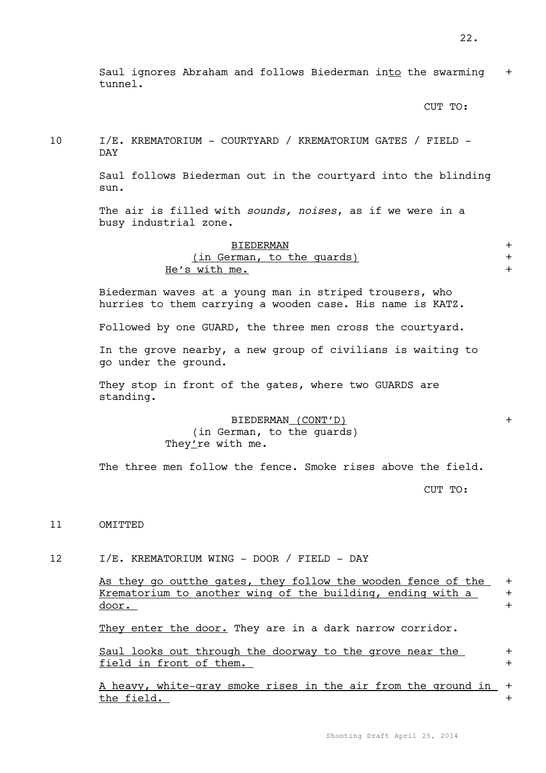Saul ignores Abraham and follows Biederman into the swarming + tunnel.

CUT TO:

10 I/E. KREMATORIUM - COURTYARD / KREMATORIUM GATES / FIELD - DAY

> Saul follows Biederman out in the courtyard into the blinding sun.

The air is filled with *sounds, noises*, as if we were in a busy industrial zone.

| <b>BIEDERMAN</b>           |  |
|----------------------------|--|
| (in German, to the quards) |  |
| He's with me.              |  |

Biederman waves at a young man in striped trousers, who hurries to them carrying a wooden case. His name is KATZ.

Followed by one GUARD, the three men cross the courtyard.

In the grove nearby, a new group of civilians is waiting to go under the ground.

They stop in front of the gates, where two GUARDS are standing.

> BIEDERMAN (CONT'D) + (in German, to the guards) They're with me.

The three men follow the fence. Smoke rises above the field.

CUT TO:

11 OMITTED

12 I/E. KREMATORIUM WING - DOOR / FIELD - DAY

As they go outthe gates, they follow the wooden fence of the + Krematorium to another wing of the building, ending with a + door. +

They enter the door. They are in a dark narrow corridor.

Saul looks out through the doorway to the grove near the + field in front of them.  $+$ 

A heavy, white-gray smoke rises in the air from the ground in + the field.  $+$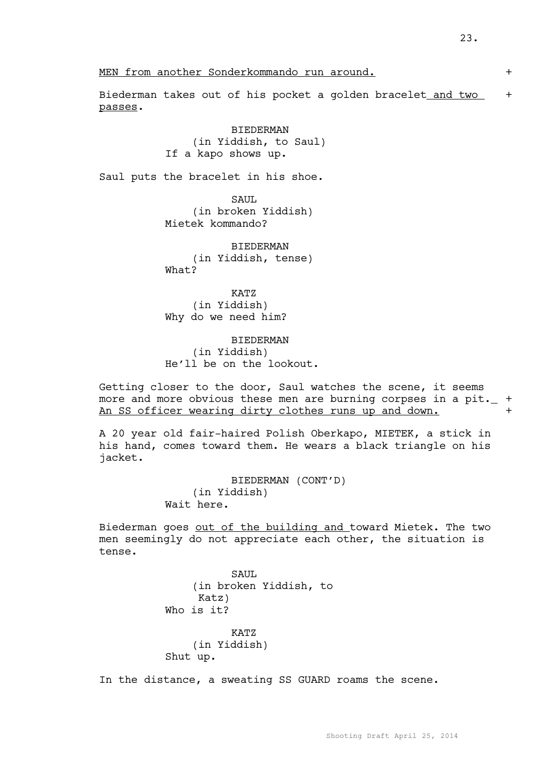MEN from another Sonderkommando run around. +

Biederman takes out of his pocket a golden bracelet and two + passes.

# BIEDERMAN (in Yiddish, to Saul) If a kapo shows up.

Saul puts the bracelet in his shoe.

SAUL (in broken Yiddish) Mietek kommando?

BIEDERMAN (in Yiddish, tense) What?

KATZ (in Yiddish) Why do we need him?

BIEDERMAN (in Yiddish) He'll be on the lookout.

Getting closer to the door, Saul watches the scene, it seems more and more obvious these men are burning corpses in a pit.  $+$ An SS officer wearing dirty clothes runs up and down.

A 20 year old fair-haired Polish Oberkapo, MIETEK, a stick in his hand, comes toward them. He wears a black triangle on his jacket.

> BIEDERMAN (CONT'D) (in Yiddish) Wait here.

Biederman goes out of the building and toward Mietek. The two men seemingly do not appreciate each other, the situation is tense.

> SAUL (in broken Yiddish, to Katz) Who is it? KATZ (in Yiddish) Shut up.

In the distance, a sweating SS GUARD roams the scene.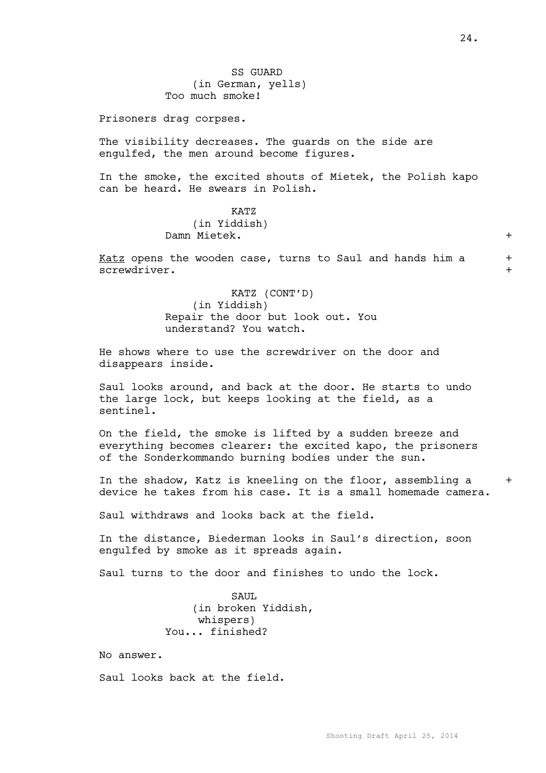Prisoners drag corpses.

The visibility decreases. The guards on the side are engulfed, the men around become figures.

In the smoke, the excited shouts of Mietek, the Polish kapo can be heard. He swears in Polish.

## KATZ (in Yiddish) Damn Mietek. +

Katz opens the wooden case, turns to Saul and hands him a + screwdriver.  $+$ 

> KATZ (CONT'D) (in Yiddish) Repair the door but look out. You understand? You watch.

He shows where to use the screwdriver on the door and disappears inside.

Saul looks around, and back at the door. He starts to undo the large lock, but keeps looking at the field, as a sentinel.

On the field, the smoke is lifted by a sudden breeze and everything becomes clearer: the excited kapo, the prisoners of the Sonderkommando burning bodies under the sun.

In the shadow, Katz is kneeling on the floor, assembling a  $+$ device he takes from his case. It is a small homemade camera.

Saul withdraws and looks back at the field.

In the distance, Biederman looks in Saul's direction, soon engulfed by smoke as it spreads again.

Saul turns to the door and finishes to undo the lock.

SAUL (in broken Yiddish, whispers) You... finished?

No answer.

Saul looks back at the field.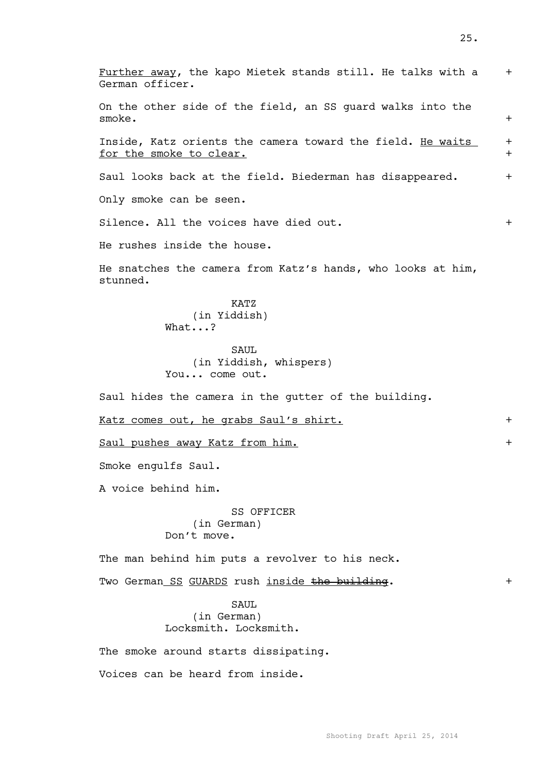| Further away, the kapo Mietek stands still. He talks with a<br>German officer.        | $+$        |
|---------------------------------------------------------------------------------------|------------|
| On the other side of the field, an SS guard walks into the<br>smoke.                  | $+$        |
| Inside, Katz orients the camera toward the field. He waits<br>for the smoke to clear. | $+$<br>$+$ |
| Saul looks back at the field. Biederman has disappeared.                              | $+$        |
| Only smoke can be seen.                                                               |            |
| Silence. All the voices have died out.                                                | $+$        |
| He rushes inside the house.                                                           |            |
| He snatches the camera from Katz's hands, who looks at him,<br>stunned.               |            |
| KATZ<br>(in Yiddish)<br>What?                                                         |            |
| SAUL<br>(in Yiddish, whispers)<br>You come out.                                       |            |
| Saul hides the camera in the gutter of the building.                                  |            |
| Katz comes out, he grabs Saul's shirt.                                                | $+$        |
| Saul pushes away Katz from him.                                                       | $+$        |
| Smoke engulfs Saul.                                                                   |            |
| A voice behind him.                                                                   |            |
| SS OFFICER<br>(in German)<br>Don't move.                                              |            |
| The man behind him puts a revolver to his neck.                                       |            |
| Two German SS GUARDS rush inside the building.                                        | $+$        |
| SAUL<br>(in German)<br>Locksmith. Locksmith.                                          |            |
| The smoke around starts dissipating.                                                  |            |
| Voices can be heard from inside.                                                      |            |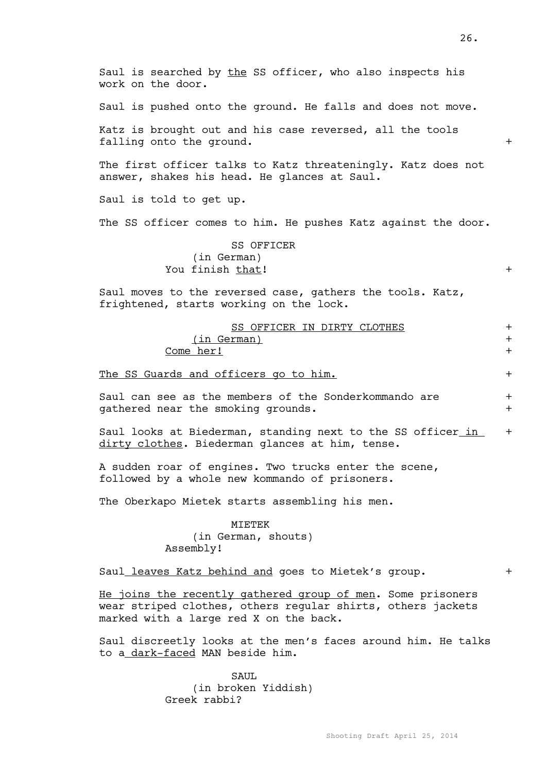| Saul is searched by the SS officer, who also inspects his<br>work on the door.                                                                                       |                   |
|----------------------------------------------------------------------------------------------------------------------------------------------------------------------|-------------------|
| Saul is pushed onto the ground. He falls and does not move.                                                                                                          |                   |
| Katz is brought out and his case reversed, all the tools<br>falling onto the ground.                                                                                 | $+$               |
| The first officer talks to Katz threateningly. Katz does not<br>answer, shakes his head. He glances at Saul.                                                         |                   |
| Saul is told to get up.                                                                                                                                              |                   |
| The SS officer comes to him. He pushes Katz against the door.                                                                                                        |                   |
| SS OFFICER<br>(in German)<br>You finish that!                                                                                                                        | $+$               |
| Saul moves to the reversed case, gathers the tools. Katz,<br>frightened, starts working on the lock.                                                                 |                   |
| SS OFFICER IN DIRTY CLOTHES<br>(in German)<br>Come her!                                                                                                              | $+$<br>$+$<br>$+$ |
| The SS Guards and officers go to him.                                                                                                                                | $+$               |
| Saul can see as the members of the Sonderkommando are<br>gathered near the smoking grounds.                                                                          | $+$<br>$+$        |
| Saul looks at Biederman, standing next to the SS officer in<br>dirty clothes. Biederman glances at him, tense.                                                       | $+$               |
| A sudden roar of engines. Two trucks enter the scene,<br>followed by a whole new kommando of prisoners.                                                              |                   |
| The Oberkapo Mietek starts assembling his men.                                                                                                                       |                   |
| MIETEK<br>(in German, shouts)<br>Assembly!                                                                                                                           |                   |
| Saul_leaves Katz behind and goes to Mietek's group.                                                                                                                  | $+$               |
| He joins the recently gathered group of men. Some prisoners<br>wear striped clothes, others regular shirts, others jackets<br>marked with a large red X on the back. |                   |
| Saul discreetly looks at the men's faces around him. He talks                                                                                                        |                   |

SAUL (in broken Yiddish) Greek rabbi?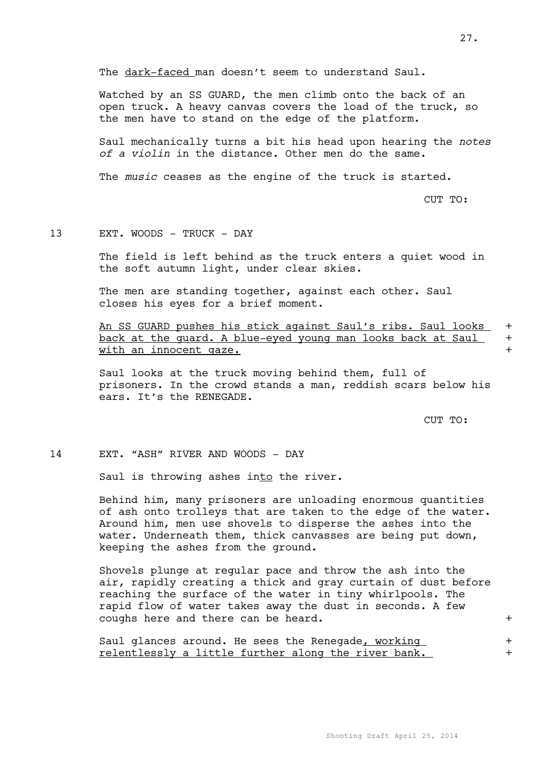The dark-faced man doesn't seem to understand Saul.

Watched by an SS GUARD, the men climb onto the back of an open truck. A heavy canvas covers the load of the truck, so the men have to stand on the edge of the platform.

Saul mechanically turns a bit his head upon hearing the *notes of a violin* in the distance. Other men do the same.

The *music* ceases as the engine of the truck is started.

CUT TO:

#### 13 EXT. WOODS - TRUCK - DAY

The field is left behind as the truck enters a quiet wood in the soft autumn light, under clear skies.

The men are standing together, against each other. Saul closes his eyes for a brief moment.

An SS GUARD pushes his stick against Saul's ribs. Saul looks + back at the quard. A blue-eyed young man looks back at Saul + with an innocent gaze.  $+$ 

Saul looks at the truck moving behind them, full of prisoners. In the crowd stands a man, reddish scars below his ears. It's the RENEGADE.

CUT TO:

#### 14 EXT. "ASH" RIVER AND WOODS - DAY

Saul is throwing ashes into the river.

Behind him, many prisoners are unloading enormous quantities of ash onto trolleys that are taken to the edge of the water. Around him, men use shovels to disperse the ashes into the water. Underneath them, thick canvasses are being put down, keeping the ashes from the ground.

Shovels plunge at regular pace and throw the ash into the air, rapidly creating a thick and gray curtain of dust before reaching the surface of the water in tiny whirlpools. The rapid flow of water takes away the dust in seconds. A few coughs here and there can be heard. +

Saul glances around. He sees the Renegade, working  $+$ relentlessly a little further along the river bank. +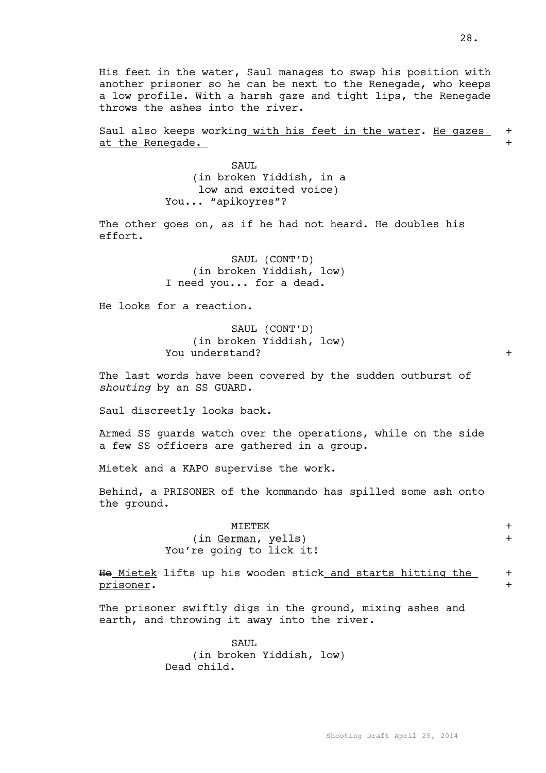His feet in the water, Saul manages to swap his position with another prisoner so he can be next to the Renegade, who keeps a low profile. With a harsh gaze and tight lips, the Renegade throws the ashes into the river.

Saul also keeps working with his feet in the water. He gazes + at the Renegade.  $+$ 

> SAUL. (in broken Yiddish, in a low and excited voice) You... "apikoyres"?

The other goes on, as if he had not heard. He doubles his effort.

> SAUL (CONT'D) (in broken Yiddish, low) I need you... for a dead.

He looks for a reaction.

SAUL (CONT'D) (in broken Yiddish, low) You understand?  $+$ 

The last words have been covered by the sudden outburst of *shouting* by an SS GUARD.

Saul discreetly looks back.

Armed SS guards watch over the operations, while on the side a few SS officers are gathered in a group.

Mietek and a KAPO supervise the work.

Behind, a PRISONER of the kommando has spilled some ash onto the ground.

> MIETEK + (in German, yells) + You're going to lick it!

He Mietek lifts up his wooden stick and starts hitting the  $+$ prisoner. +

The prisoner swiftly digs in the ground, mixing ashes and earth, and throwing it away into the river.

> SAUL (in broken Yiddish, low) Dead child.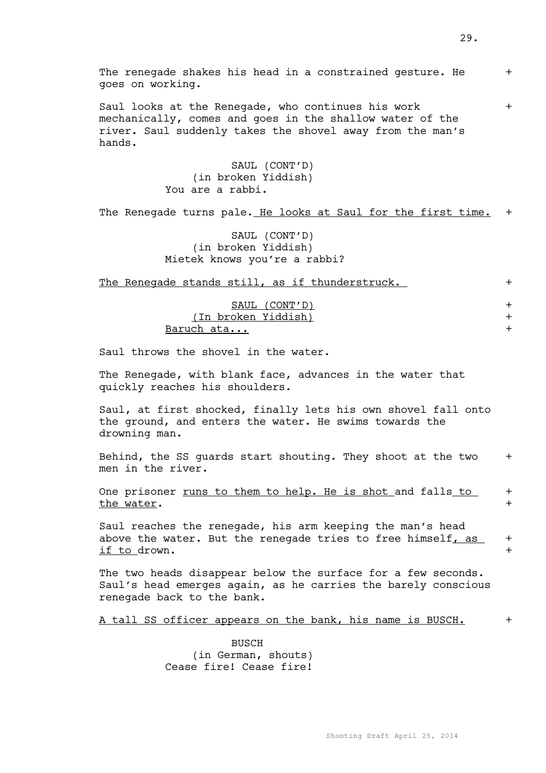- -

The renegade shakes his head in a constrained gesture. He  $+$ goes on working.

Saul looks at the Renegade, who continues his work + mechanically, comes and goes in the shallow water of the river. Saul suddenly takes the shovel away from the man's hands.

> SAUL (CONT'D) (in broken Yiddish) You are a rabbi.

The Renegade turns pale. He looks at Saul for the first time. +

SAUL (CONT'D) (in broken Yiddish) Mietek knows you're a rabbi?

The Renegade stands still, as if thunderstruck.

(In broken Yiddish) + Baruch ata... +

Saul throws the shovel in the water.

The Renegade, with blank face, advances in the water that quickly reaches his shoulders.

Saul, at first shocked, finally lets his own shovel fall onto the ground, and enters the water. He swims towards the drowning man.

Behind, the SS guards start shouting. They shoot at the two  $+$ men in the river.

One prisoner <u>runs to them to help. He is shot and falls to</u> + the water.  $+$ 

Saul reaches the renegade, his arm keeping the man's head above the water. But the renegade tries to free himself, as  $+$ if to drown.  $+$ 

The two heads disappear below the surface for a few seconds. Saul's head emerges again, as he carries the barely conscious renegade back to the bank.

A tall SS officer appears on the bank, his name is BUSCH. +

BUSCH (in German, shouts) Cease fire! Cease fire!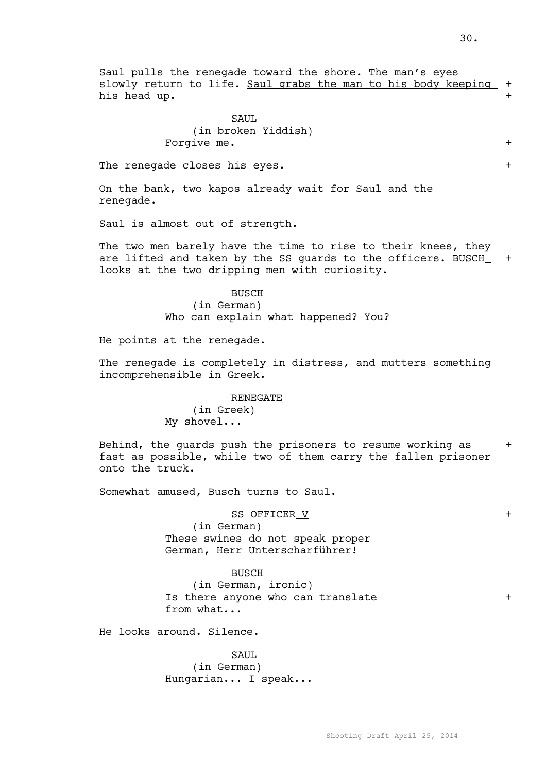Saul pulls the renegade toward the shore. The man's eyes slowly return to life. Saul grabs the man to his body keeping + his head up.  $+$ 

### SAUL. (in broken Yiddish) Forgive me.  $+$

The renegade closes his eyes.  $+$ 

On the bank, two kapos already wait for Saul and the renegade.

Saul is almost out of strength.

The two men barely have the time to rise to their knees, they are lifted and taken by the SS guards to the officers. BUSCH\_ + looks at the two dripping men with curiosity.

> BUSCH (in German) Who can explain what happened? You?

He points at the renegade.

The renegade is completely in distress, and mutters something incomprehensible in Greek.

#### RENEGATE

(in Greek) My shovel...

Behind, the quards push the prisoners to resume working as  $+$ fast as possible, while two of them carry the fallen prisoner onto the truck.

Somewhat amused, Busch turns to Saul.

SS OFFICER V +

(in German) These swines do not speak proper German, Herr Unterscharführer!

#### BUSCH

(in German, ironic) Is there anyone who can translate  $+$ from what...

He looks around. Silence.

SAUL. (in German) Hungarian... I speak...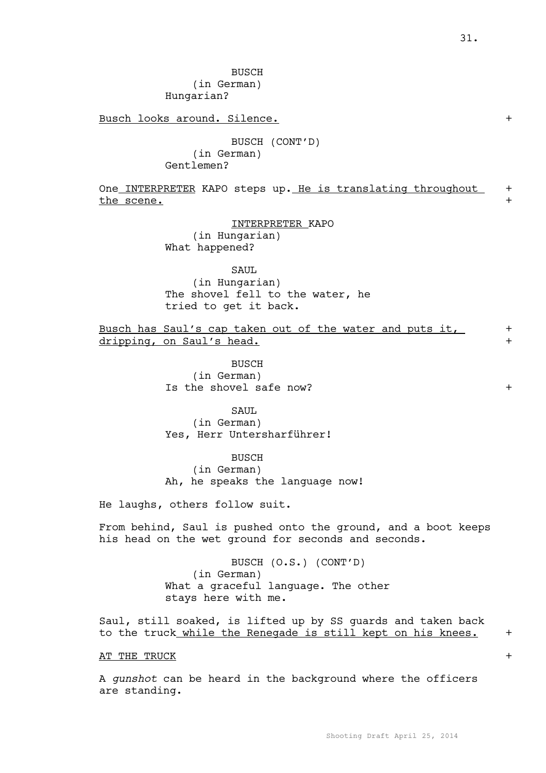BUSCH

(in German)

Hungarian?

Busch looks around. Silence.  $+$ 

BUSCH (CONT'D) (in German) Gentlemen?

One INTERPRETER KAPO steps up. He is translating throughout + the scene.

INTERPRETER KAPO

(in Hungarian) What happened?

SAUL

(in Hungarian) The shovel fell to the water, he tried to get it back.

Busch has Saul's cap taken out of the water and puts it, + dripping, on Saul's head. +

> BUSCH (in German) Is the shovel safe now? +

SAUL (in German) Yes, Herr Untersharführer!

BUSCH (in German) Ah, he speaks the language now!

He laughs, others follow suit.

From behind, Saul is pushed onto the ground, and a boot keeps his head on the wet ground for seconds and seconds.

> BUSCH (O.S.) (CONT'D) (in German) What a graceful language. The other stays here with me.

Saul, still soaked, is lifted up by SS guards and taken back to the truck while the Renegade is still kept on his knees. +

AT THE TRUCK  $+$ 

A *gunshot* can be heard in the background where the officers are standing.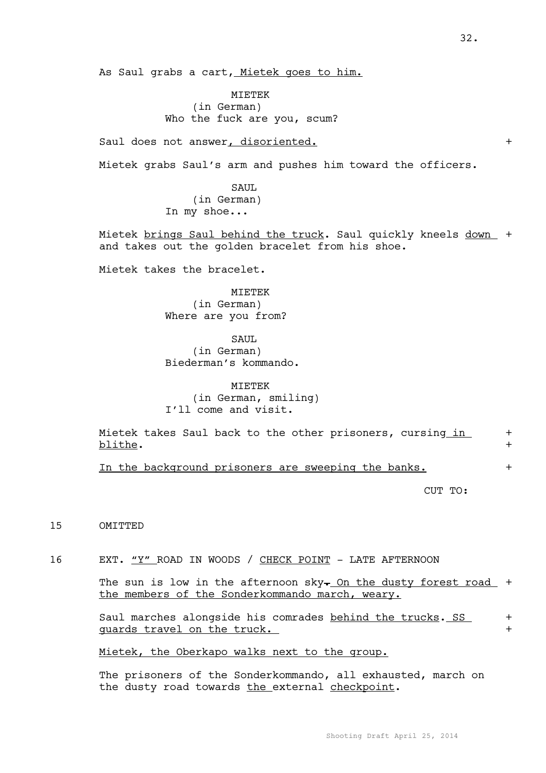As Saul grabs a cart, Mietek goes to him.

MIETEK (in German) Who the fuck are you, scum?

Saul does not answer, disoriented.  $+$ 

Mietek grabs Saul's arm and pushes him toward the officers.

SAUL. (in German) In my shoe...

Mietek brings Saul behind the truck. Saul quickly kneels down + and takes out the golden bracelet from his shoe.

Mietek takes the bracelet.

MIETEK (in German) Where are you from?

#### SAUL.

(in German) Biederman's kommando.

MIETEK (in German, smiling) I'll come and visit.

Mietek takes Saul back to the other prisoners, cursing in + blithe.  $+$ 

In the background prisoners are sweeping the banks.  $+$ 

CUT TO:

15 OMITTED

16 EXT. "Y" ROAD IN WOODS / CHECK POINT - LATE AFTERNOON

The sun is low in the afternoon sky $\frac{1}{2}$  On the dusty forest road + the members of the Sonderkommando march, weary.

Saul marches alongside his comrades behind the trucks. SS + guards travel on the truck.  $+$ 

Mietek, the Oberkapo walks next to the group.

The prisoners of the Sonderkommando, all exhausted, march on the dusty road towards the external checkpoint.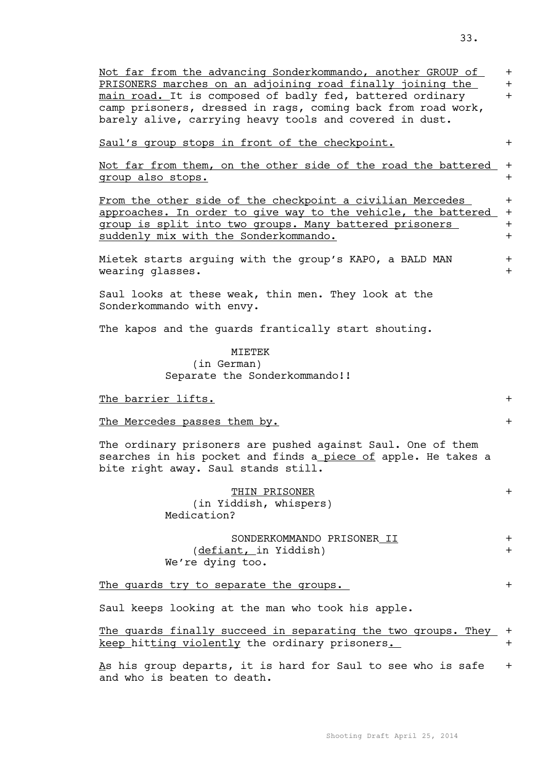| Not far from the advancing Sonderkommando, another GROUP of<br>PRISONERS marches on an adjoining road finally joining the<br>main road. It is composed of badly fed, battered ordinary<br>camp prisoners, dressed in rags, coming back from road work,<br>barely alive, carrying heavy tools and covered in dust. | $+$<br>$+$<br>$+$        |
|-------------------------------------------------------------------------------------------------------------------------------------------------------------------------------------------------------------------------------------------------------------------------------------------------------------------|--------------------------|
| Saul's group stops in front of the checkpoint.                                                                                                                                                                                                                                                                    | $+$                      |
| Not far from them, on the other side of the road the battered<br>group also stops.                                                                                                                                                                                                                                | $+$<br>$+$               |
| From the other side of the checkpoint a civilian Mercedes<br>approaches. In order to give way to the vehicle, the battered<br>group is split into two groups. Many battered prisoners<br>suddenly mix with the Sonderkommando.                                                                                    | $+$<br>$+$<br>$+$<br>$+$ |
| Mietek starts arguing with the group's KAPO, a BALD MAN<br>wearing glasses.                                                                                                                                                                                                                                       | $+$<br>$+$               |
| Saul looks at these weak, thin men. They look at the<br>Sonderkommando with envy.                                                                                                                                                                                                                                 |                          |
| The kapos and the guards frantically start shouting.                                                                                                                                                                                                                                                              |                          |
| MIETEK<br>(in German)<br>Separate the Sonderkommando!!                                                                                                                                                                                                                                                            |                          |
| <u>The barrier lifts.</u>                                                                                                                                                                                                                                                                                         | $+$                      |
| The Mercedes passes them by.                                                                                                                                                                                                                                                                                      | $+$                      |
| The ordinary prisoners are pushed against Saul. One of them<br>searches in his pocket and finds a piece of apple. He takes a<br>bite right away. Saul stands still.                                                                                                                                               |                          |
| THIN PRISONER<br>(in Yiddish, whispers)<br>Medication?                                                                                                                                                                                                                                                            | $+$                      |
| SONDERKOMMANDO PRISONER II<br>(defiant, in Yiddish)<br>We're dying too.                                                                                                                                                                                                                                           | $+$<br>$+$               |
| The guards try to separate the groups.                                                                                                                                                                                                                                                                            | $+$                      |
| Saul keeps looking at the man who took his apple.                                                                                                                                                                                                                                                                 |                          |
| The guards finally succeed in separating the two groups. They<br>keep hitting violently the ordinary prisoners.                                                                                                                                                                                                   | $+$<br>$+$               |
| As his group departs, it is hard for Saul to see who is safe<br>and who is beaten to death.                                                                                                                                                                                                                       | $+$                      |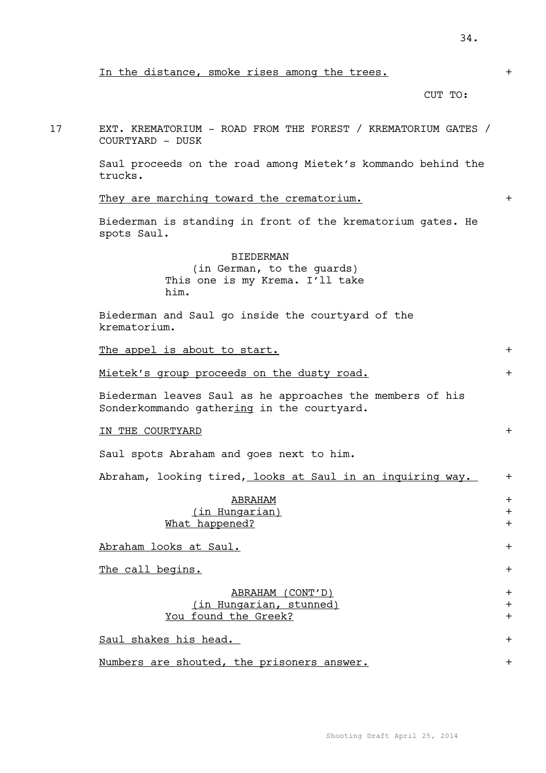17 EXT. KREMATORIUM - ROAD FROM THE FOREST / KREMATORIUM GATES / COURTYARD - DUSK

> Saul proceeds on the road among Mietek's kommando behind the trucks.

#### They are marching toward the crematorium.  $+$

Biederman is standing in front of the krematorium gates. He spots Saul.

### **BIEDERMAN**

(in German, to the guards) This one is my Krema. I'll take him.

Biederman and Saul go inside the courtyard of the krematorium.

The appel is about to start.  $+$ 

Mietek's group proceeds on the dusty road. +

Biederman leaves Saul as he approaches the members of his Sonderkommando gathering in the courtyard.

IN THE COURTYARD +

Saul spots Abraham and goes next to him.

Abraham, looking tired, looks at Saul in an inquiring way. +

# ABRAHAM + (in Hungarian) + What happened?  $+$

Abraham looks at Saul. +

The call begins.  $+$ 

### ABRAHAM (CONT'D) + (in Hungarian, stunned) + You found the Greek?  $+$

Saul shakes his head.  $+$ 

Numbers are shouted, the prisoners answer. +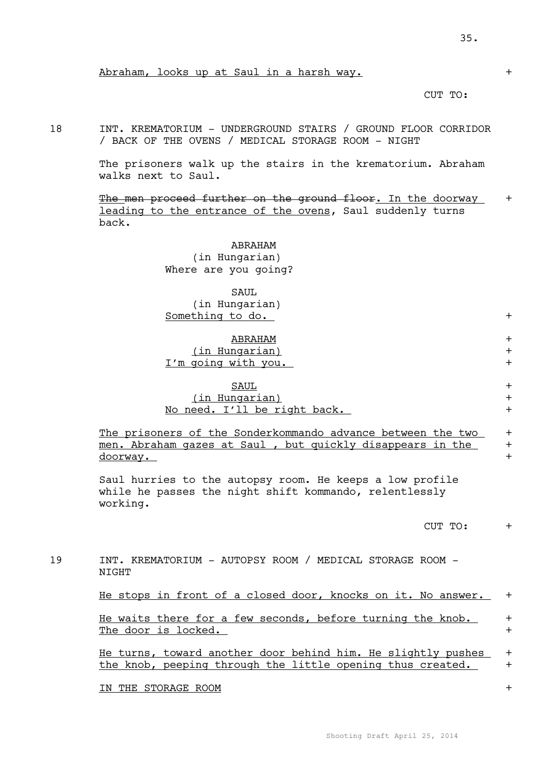### Abraham, looks up at Saul in a harsh way. +

#### CUT TO:

18 INT. KREMATORIUM - UNDERGROUND STAIRS / GROUND FLOOR CORRIDOR / BACK OF THE OVENS / MEDICAL STORAGE ROOM - NIGHT

> The prisoners walk up the stairs in the krematorium. Abraham walks next to Saul.

The men proceed further on the ground floor. In the doorway + leading to the entrance of the ovens, Saul suddenly turns back.

> ABRAHAM (in Hungarian) Where are you going?

SAUL. (in Hungarian) Something to do.  $+$ 

# ABRAHAM +

(in Hungarian) + I'm going with you. +

## $\underline{\hbox{SAUL}}$ (in Hungarian) + No need. I'll be right back. +

The prisoners of the Sonderkommando advance between the two + men. Abraham gazes at Saul, but quickly disappears in the doorway. +

Saul hurries to the autopsy room. He keeps a low profile while he passes the night shift kommando, relentlessly working.

#### CUT TO: +

19 INT. KREMATORIUM - AUTOPSY ROOM / MEDICAL STORAGE ROOM - NIGHT

He stops in front of a closed door, knocks on it. No answer. +

He waits there for a few seconds, before turning the knob.  $+$ The door is locked.  $+$ 

He turns, toward another door behind him. He slightly pushes + the knob, peeping through the little opening thus created. +

IN THE STORAGE ROOM +

Shooting Draft April 25, 2014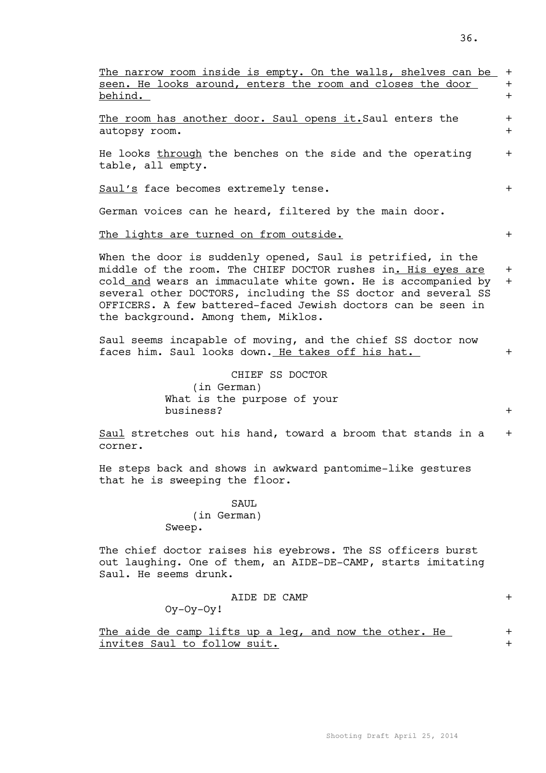| The narrow room inside is empty. On the walls, shelves can be<br>seen. He looks around, enters the room and closes the door<br>behind.                                                                                                                                                                                                                               | $\pm$<br>$+$<br>$+$ |
|----------------------------------------------------------------------------------------------------------------------------------------------------------------------------------------------------------------------------------------------------------------------------------------------------------------------------------------------------------------------|---------------------|
| The room has another door. Saul opens it. Saul enters the<br>autopsy room.                                                                                                                                                                                                                                                                                           | $+$<br>$+$          |
| He looks through the benches on the side and the operating<br>table, all empty.                                                                                                                                                                                                                                                                                      | $+$                 |
| Saul's face becomes extremely tense.                                                                                                                                                                                                                                                                                                                                 | $+$                 |
| German voices can he heard, filtered by the main door.                                                                                                                                                                                                                                                                                                               |                     |
| The lights are turned on from outside.                                                                                                                                                                                                                                                                                                                               | $+$                 |
| When the door is suddenly opened, Saul is petrified, in the<br>middle of the room. The CHIEF DOCTOR rushes in. His eyes are<br>cold and wears an immaculate white gown. He is accompanied by<br>several other DOCTORS, including the SS doctor and several SS<br>OFFICERS. A few battered-faced Jewish doctors can be seen in<br>the background. Among them, Miklos. | $+$<br>$+$          |
| Saul seems incapable of moving, and the chief SS doctor now<br>faces him. Saul looks down. He takes off his hat.                                                                                                                                                                                                                                                     | $+$                 |
| CHIEF SS DOCTOR<br>(in German)<br>What is the purpose of your<br>business?                                                                                                                                                                                                                                                                                           | $+$                 |
| Saul stretches out his hand, toward a broom that stands in a<br>corner.                                                                                                                                                                                                                                                                                              | $+$                 |
| He steps back and shows in awkward pantomime-like gestures<br>that he is sweeping the floor.                                                                                                                                                                                                                                                                         |                     |
| <b>SAUL</b><br>(in German)<br>Sweep.                                                                                                                                                                                                                                                                                                                                 |                     |
| The chief doctor raises his eyebrows. The SS officers burst<br>out laughing. One of them, an AIDE-DE-CAMP, starts imitating<br>Saul. He seems drunk.                                                                                                                                                                                                                 |                     |
| AIDE DE CAMP<br>$Oy-Oy-Oy!$                                                                                                                                                                                                                                                                                                                                          | $+$                 |
| The aide de camp lifts up a leg, and now the other. He<br>invites Saul to follow suit.                                                                                                                                                                                                                                                                               | $\pm$<br>$\pm$      |
|                                                                                                                                                                                                                                                                                                                                                                      |                     |
|                                                                                                                                                                                                                                                                                                                                                                      |                     |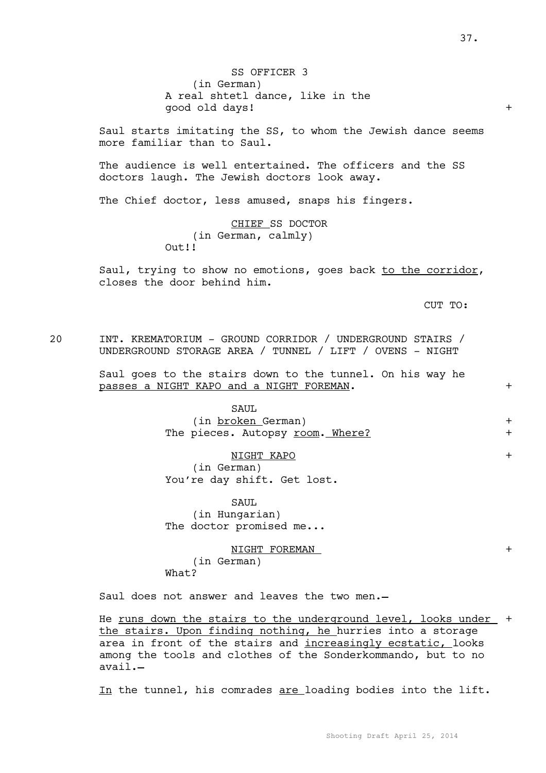SS OFFICER 3 (in German) A real shtetl dance, like in the good old days! +

Saul starts imitating the SS, to whom the Jewish dance seems more familiar than to Saul.

The audience is well entertained. The officers and the SS doctors laugh. The Jewish doctors look away.

The Chief doctor, less amused, snaps his fingers.

CHIEF SS DOCTOR (in German, calmly) Out!!

Saul, trying to show no emotions, goes back to the corridor, closes the door behind him.

CUT TO:

20 INT. KREMATORIUM - GROUND CORRIDOR / UNDERGROUND STAIRS / UNDERGROUND STORAGE AREA / TUNNEL / LIFT / OVENS - NIGHT

> Saul goes to the stairs down to the tunnel. On his way he passes a NIGHT KAPO and a NIGHT FOREMAN. +

> > SAUL (in broken German) + The pieces. Autopsy <u>room. Where?</u> +

> > NIGHT KAPO + (in German) You're day shift. Get lost.

SAUL (in Hungarian) The doctor promised me...

NIGHT FOREMAN + (in German) What?

Saul does not answer and leaves the two men.

He runs down the stairs to the underground level, looks under + the stairs. Upon finding nothing, he hurries into a storage area in front of the stairs and increasingly ecstatic, looks among the tools and clothes of the Sonderkommando, but to no avail.

In the tunnel, his comrades are loading bodies into the lift.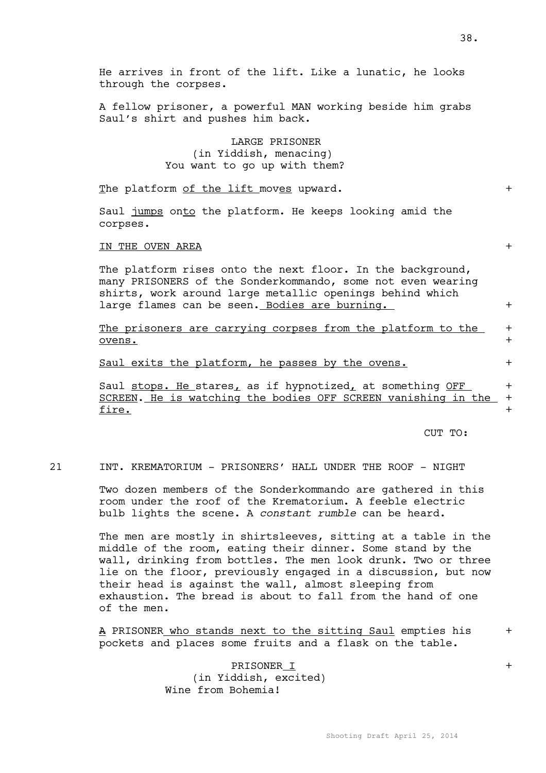He arrives in front of the lift. Like a lunatic, he looks through the corpses.

A fellow prisoner, a powerful MAN working beside him grabs Saul's shirt and pushes him back.

> LARGE PRISONER (in Yiddish, menacing) You want to go up with them?

The platform of the lift moves upward.  $+$ 

Saul jumps onto the platform. He keeps looking amid the corpses.

#### IN THE OVEN AREA  $+$

The platform rises onto the next floor. In the background, many PRISONERS of the Sonderkommando, some not even wearing shirts, work around large metallic openings behind which large flames can be seen. Bodies are burning.  $+$ 

The prisoners are carrying corpses from the platform to the  $+$ ovens. +

Saul exits the platform, he passes by the ovens.  $+$ 

Saul stops. He stares, as if hypnotized, at something OFF  $+$ SCREEN. He is watching the bodies OFF SCREEN vanishing in the +  $fire.$  +</u>

CUT TO:

21 INT. KREMATORIUM - PRISONERS' HALL UNDER THE ROOF - NIGHT

Two dozen members of the Sonderkommando are gathered in this room under the roof of the Krematorium. A feeble electric bulb lights the scene. A *constant rumble* can be heard.

The men are mostly in shirtsleeves, sitting at a table in the middle of the room, eating their dinner. Some stand by the wall, drinking from bottles. The men look drunk. Two or three lie on the floor, previously engaged in a discussion, but now their head is against the wall, almost sleeping from exhaustion. The bread is about to fall from the hand of one of the men.

A PRISONER who stands next to the sitting Saul empties his + pockets and places some fruits and a flask on the table.

> PRISONER I + (in Yiddish, excited) Wine from Bohemia!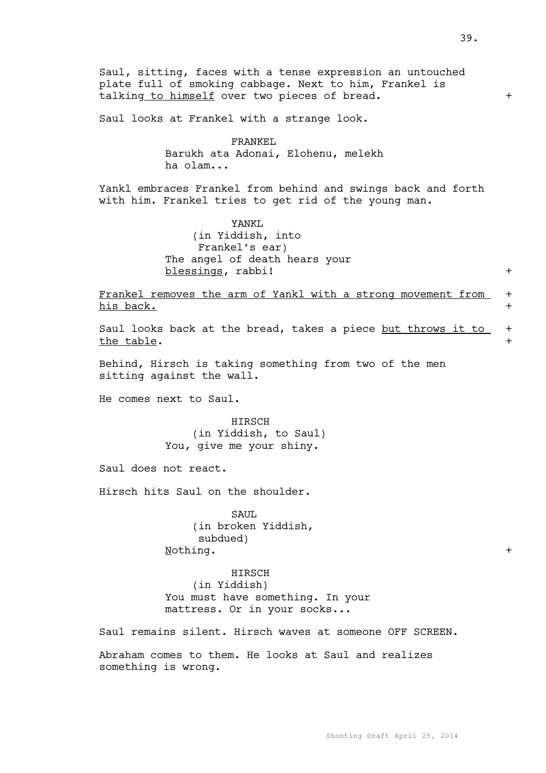Saul, sitting, faces with a tense expression an untouched plate full of smoking cabbage. Next to him, Frankel is talking to himself over two pieces of bread. + Saul looks at Frankel with a strange look. FRANKEL Barukh ata Adonai, Elohenu, melekh ha olam... Yankl embraces Frankel from behind and swings back and forth with him. Frankel tries to get rid of the young man. YANKL (in Yiddish, into Frankel's ear) The angel of death hears your blessings, rabbi! + Frankel removes the arm of Yankl with a strong movement from  $+$ his back.  $+$ Saul looks back at the bread, takes a piece but throws it to + the table.  $+$ Behind, Hirsch is taking something from two of the men sitting against the wall. He comes next to Saul. HIRSCH (in Yiddish, to Saul) You, give me your shiny. Saul does not react. Hirsch hits Saul on the shoulder. SAUL (in broken Yiddish,

subdued) Nothing.  $+$ 

HIRSCH (in Yiddish) You must have something. In your mattress. Or in your socks...

Saul remains silent. Hirsch waves at someone OFF SCREEN.

Abraham comes to them. He looks at Saul and realizes something is wrong.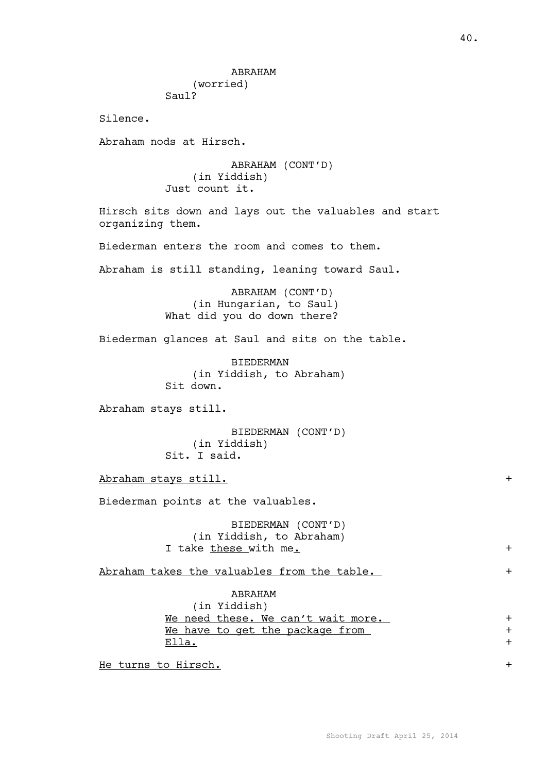### ABRAHAM

(worried) Saul?

Silence.

Abraham nods at Hirsch.

ABRAHAM (CONT'D) (in Yiddish) Just count it.

Hirsch sits down and lays out the valuables and start organizing them.

Biederman enters the room and comes to them.

Abraham is still standing, leaning toward Saul.

ABRAHAM (CONT'D) (in Hungarian, to Saul) What did you do down there?

Biederman glances at Saul and sits on the table.

BIEDERMAN (in Yiddish, to Abraham) Sit down.

Abraham stays still.

BIEDERMAN (CONT'D) (in Yiddish) Sit. I said.

Abraham stays still.  $+$ 

Biederman points at the valuables.

BIEDERMAN (CONT'D) (in Yiddish, to Abraham) I take these with me.  $+$ 

Abraham takes the valuables from the table.  $+$ 

ABRAHAM

(in Yiddish) We need these. We can't wait more. + We have to get the package from  $+$ 

 $\texttt{Ella.}$  +

He turns to Hirsch. +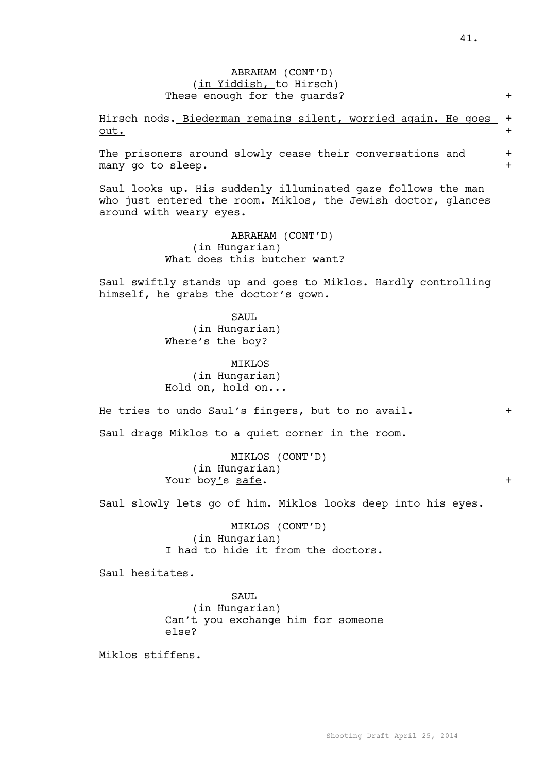## ABRAHAM (CONT'D) (in Yiddish, to Hirsch) These enough for the quards? +

Hirsch nods. Biederman remains silent, worried again. He goes +  $\overline{\text{out.}}$  +

The prisoners around slowly cease their conversations and + many go to sleep.  $+$ 

Saul looks up. His suddenly illuminated gaze follows the man who just entered the room. Miklos, the Jewish doctor, glances around with weary eyes.

> ABRAHAM (CONT'D) (in Hungarian) What does this butcher want?

Saul swiftly stands up and goes to Miklos. Hardly controlling himself, he grabs the doctor's gown.

> SAUL (in Hungarian) Where's the boy?

**MTKLOS** (in Hungarian) Hold on, hold on...

He tries to undo Saul's fingers, but to no avail.  $+$ 

Saul drags Miklos to a quiet corner in the room.

MIKLOS (CONT'D) (in Hungarian) Your boy's <u>safe</u>. +

Saul slowly lets go of him. Miklos looks deep into his eyes.

MIKLOS (CONT'D) (in Hungarian) I had to hide it from the doctors.

Saul hesitates.

SAUL (in Hungarian) Can't you exchange him for someone else?

Miklos stiffens.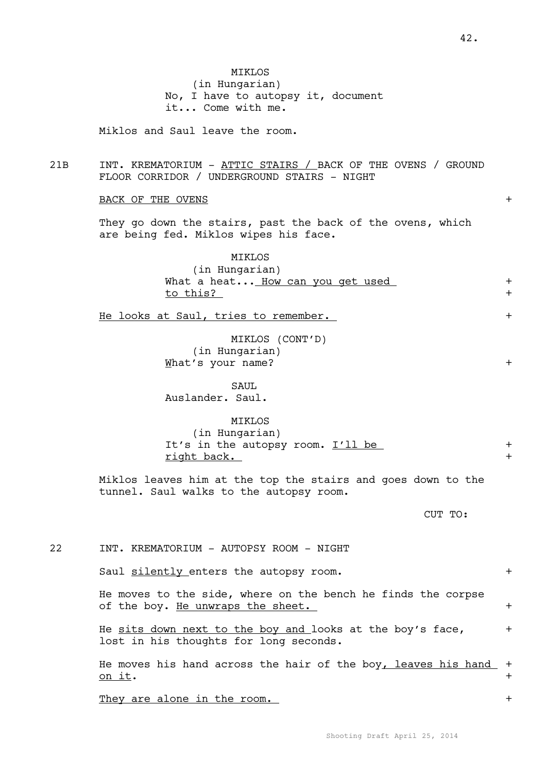|     | No, I have to autopsy it, document<br>it Come with me.                                                      |                |
|-----|-------------------------------------------------------------------------------------------------------------|----------------|
|     | Miklos and Saul leave the room.                                                                             |                |
| 21B | INT. KREMATORIUM - ATTIC STAIRS / BACK OF THE OVENS / GROUND<br>FLOOR CORRIDOR / UNDERGROUND STAIRS - NIGHT |                |
|     | <b>BACK OF THE OVENS</b>                                                                                    | $+$            |
|     | They go down the stairs, past the back of the ovens, which<br>are being fed. Miklos wipes his face.         |                |
|     | <b>MIKLOS</b><br>(in Hungarian)<br>What a heat How can you get used<br>to this?                             | $+$<br>$+$     |
|     | He looks at Saul, tries to remember.                                                                        | $+$            |
|     | MIKLOS (CONT'D)<br>(in Hungarian)<br>What's your name?                                                      | $+$            |
|     | SAUL<br>Auslander. Saul.                                                                                    |                |
|     | MIKLOS<br>(in Hungarian)<br>It's in the autopsy room. I'll be<br>right back.                                | $+$<br>$+$     |
|     | Miklos leaves him at the top the stairs and goes down to the<br>tunnel. Saul walks to the autopsy room.     |                |
|     | CUT TO:                                                                                                     |                |
| 22  | INT. KREMATORIUM - AUTOPSY ROOM - NIGHT                                                                     |                |
|     | Saul silently enters the autopsy room.                                                                      | $+$            |
|     | He moves to the side, where on the bench he finds the corpse<br>of the boy. He unwraps the sheet.           | $+$            |
|     | He sits down next to the boy and looks at the boy's face,<br>lost in his thoughts for long seconds.         | $\pm$          |
|     | He moves his hand across the hair of the boy, leaves his hand<br><u>on it</u> .                             | $\pm$<br>$\pm$ |

MIKLOS

(in Hungarian)

They are alone in the room.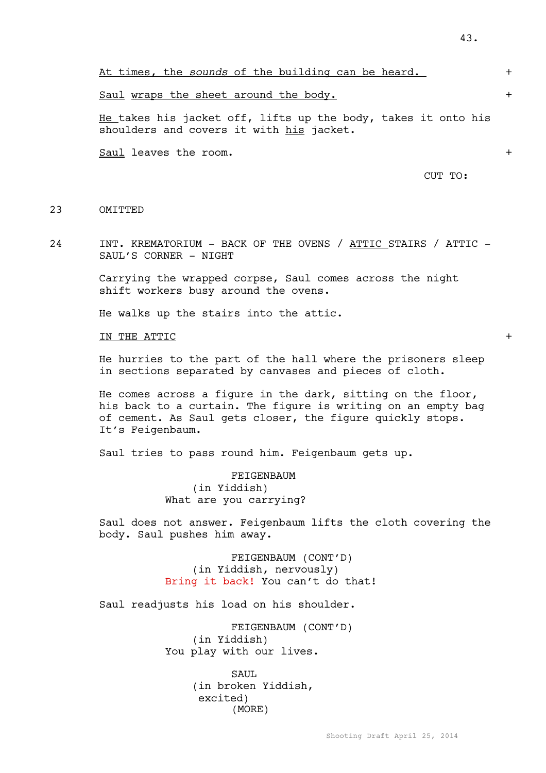At times, the *sounds* of the building can be heard. +

Saul wraps the sheet around the body.  $+$ 

He takes his jacket off, lifts up the body, takes it onto his shoulders and covers it with his jacket.

Saul leaves the room.  $+$ 

CUT TO:

### 23 OMTTTED

24 INT. KREMATORIUM - BACK OF THE OVENS / ATTIC STAIRS / ATTIC – SAUL'S CORNER - NIGHT

> Carrying the wrapped corpse, Saul comes across the night shift workers busy around the ovens.

He walks up the stairs into the attic.

IN THE ATTIC  $\hbox{ }$ 

He hurries to the part of the hall where the prisoners sleep in sections separated by canvases and pieces of cloth.

He comes across a figure in the dark, sitting on the floor, his back to a curtain. The figure is writing on an empty bag of cement. As Saul gets closer, the figure quickly stops. It's Feigenbaum.

Saul tries to pass round him. Feigenbaum gets up.

FEIGENBAUM (in Yiddish) What are you carrying?

Saul does not answer. Feigenbaum lifts the cloth covering the body. Saul pushes him away.

> FEIGENBAUM (CONT'D) (in Yiddish, nervously) Bring it back! You can't do that!

Saul readjusts his load on his shoulder.

FEIGENBAUM (CONT'D) (in Yiddish) You play with our lives.

> SAUL (in broken Yiddish, excited) (MORE)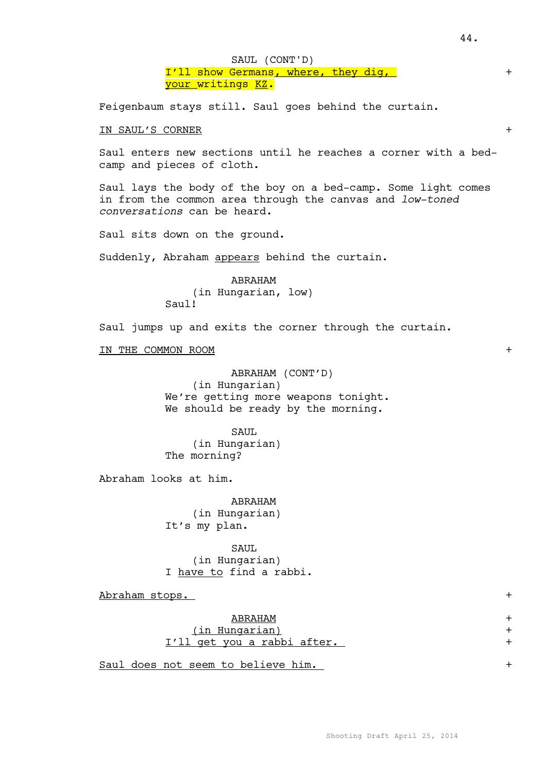I'll show Germans, where, they dig, <mark>your writings <u>KZ</u>.</mark> SAUL (CONT'D)

Feigenbaum stays still. Saul goes behind the curtain.

### IN SAUL'S CORNER +

Saul enters new sections until he reaches a corner with a bedcamp and pieces of cloth.

Saul lays the body of the boy on a bed-camp. Some light comes in from the common area through the canvas and *low-toned conversations* can be heard.

Saul sits down on the ground.

Suddenly, Abraham appears behind the curtain.

ABRAHAM (in Hungarian, low) Saul!

Saul jumps up and exits the corner through the curtain.

IN THE COMMON ROOM  $+$ 

## ABRAHAM (CONT'D) (in Hungarian) We're getting more weapons tonight.

We should be ready by the morning.

SAUL (in Hungarian) The morning?

Abraham looks at him.

ABRAHAM (in Hungarian) It's my plan.

SAUL (in Hungarian) I have to find a rabbi.

Abraham stops. +

## ABRAHAM + (in Hungarian) + I'll get you a rabbi after. +

Saul does not seem to believe him. +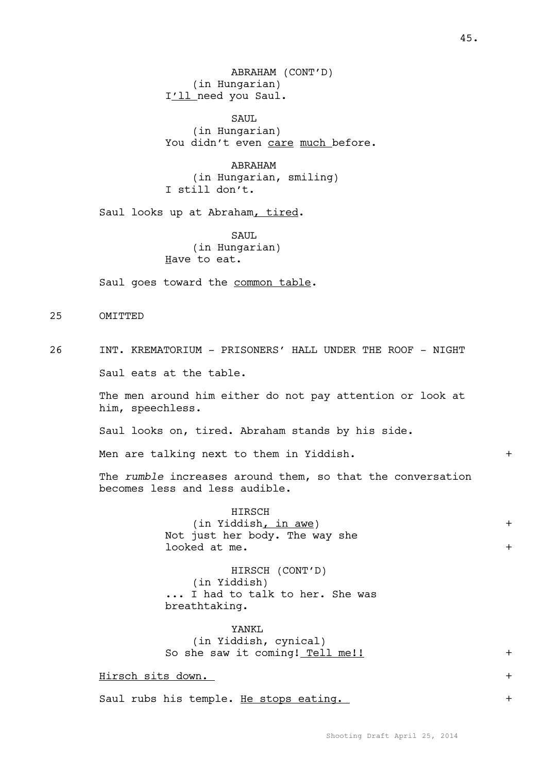ABRAHAM (CONT'D) (in Hungarian) I'll need you Saul.

SAUL. (in Hungarian) You didn't even care much before.

ABRAHAM (in Hungarian, smiling) I still don't.

Saul looks up at Abraham, tired.

SAUL (in Hungarian) Have to eat.

Saul goes toward the common table.

25 OMITTED

26 INT. KREMATORIUM - PRISONERS' HALL UNDER THE ROOF - NIGHT

Saul eats at the table.

The men around him either do not pay attention or look at him, speechless.

Saul looks on, tired. Abraham stands by his side.

Men are talking next to them in Yiddish. +

The *rumble* increases around them, so that the conversation becomes less and less audible.

> HIRSCH (in Yiddish, in awe) + Not just her body. The way she  $\texttt{looked at me.} \qquad \qquad \texttt{+}$

HIRSCH (CONT'D) (in Yiddish) ... I had to talk to her. She was breathtaking.

YANKL (in Yiddish, cynical) So she saw it coming! Tell me!! +

Hirsch sits down. +

Saul rubs his temple. He stops eating. +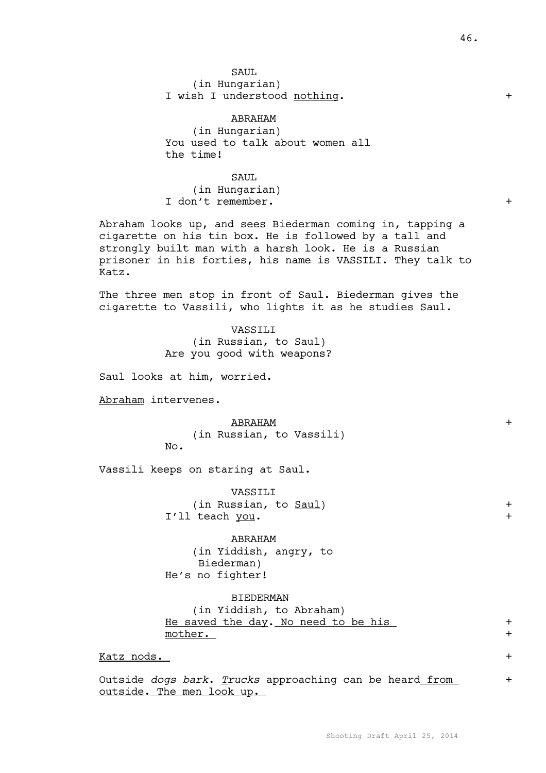SAUL (in Hungarian) I wish I understood nothing. +

ABRAHAM (in Hungarian) You used to talk about women all the time!

SAUL (in Hungarian) I don't remember. +

Abraham looks up, and sees Biederman coming in, tapping a cigarette on his tin box. He is followed by a tall and strongly built man with a harsh look. He is a Russian prisoner in his forties, his name is VASSILI. They talk to Katz.

The three men stop in front of Saul. Biederman gives the cigarette to Vassili, who lights it as he studies Saul.

> VASSILI (in Russian, to Saul) Are you good with weapons?

Saul looks at him, worried.

Abraham intervenes.

ABRAHAM + (in Russian, to Vassili) No.

Vassili keeps on staring at Saul.

VASSILI (in Russian, to <u>Saul)</u> + I'll teach you. +

ABRAHAM (in Yiddish, angry, to Biederman) He's no fighter!

BIEDERMAN (in Yiddish, to Abraham) He saved the day. No need to be his  $+$ mother.  $+$ 

Katz nods. +

Outside *dogs bark*. *Trucks* approaching can be heard from + outside. The men look up.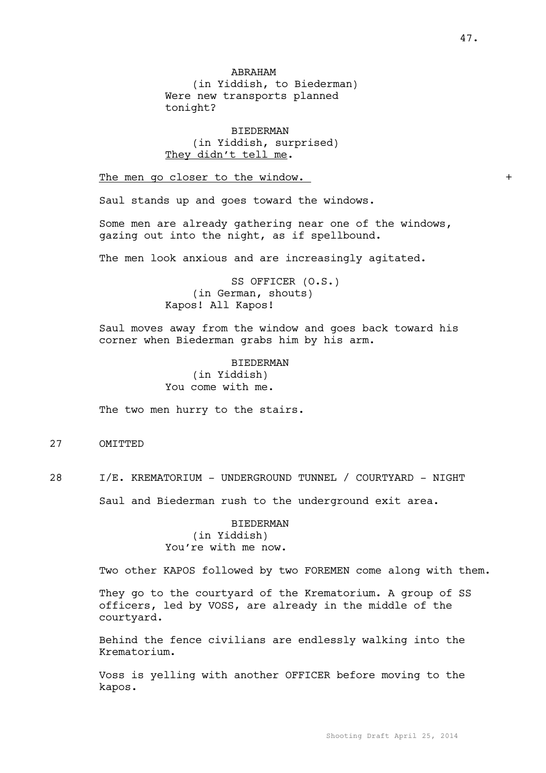(in Yiddish, to Biederman) Were new transports planned tonight?

BIEDERMAN (in Yiddish, surprised) They didn't tell me.

The men go closer to the window. +

Saul stands up and goes toward the windows.

Some men are already gathering near one of the windows, gazing out into the night, as if spellbound.

The men look anxious and are increasingly agitated.

SS OFFICER (O.S.) (in German, shouts) Kapos! All Kapos!

Saul moves away from the window and goes back toward his corner when Biederman grabs him by his arm.

> BIEDERMAN (in Yiddish) You come with me.

The two men hurry to the stairs.

27 OMITTED

28 I/E. KREMATORIUM - UNDERGROUND TUNNEL / COURTYARD - NIGHT

Saul and Biederman rush to the underground exit area.

BIEDERMAN (in Yiddish) You're with me now.

Two other KAPOS followed by two FOREMEN come along with them.

They go to the courtyard of the Krematorium. A group of SS officers, led by VOSS, are already in the middle of the courtyard.

Behind the fence civilians are endlessly walking into the Krematorium.

Voss is yelling with another OFFICER before moving to the kapos.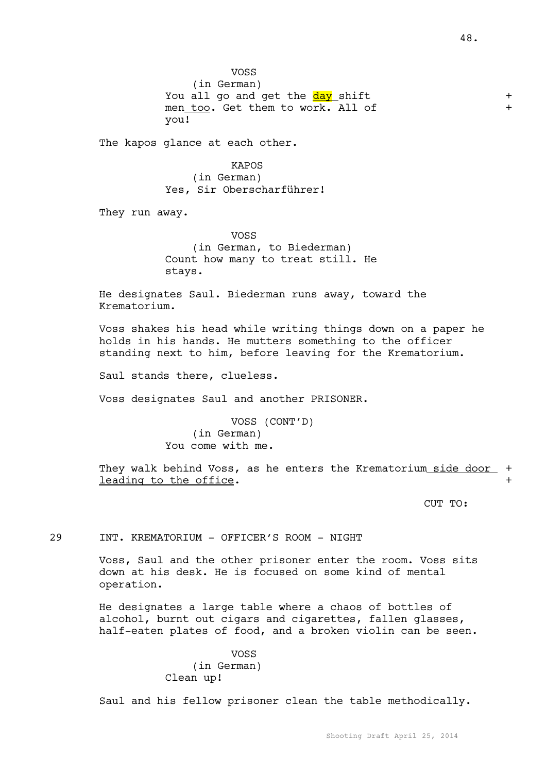VOSS (in German) You all go and get the **day** shift  $+$ men too. Get them to work. All of  $+$ you!

The kapos glance at each other.

KAPOS (in German) Yes, Sir Oberscharführer!

They run away.

VOSS (in German, to Biederman) Count how many to treat still. He stays.

He designates Saul. Biederman runs away, toward the Krematorium.

Voss shakes his head while writing things down on a paper he holds in his hands. He mutters something to the officer standing next to him, before leaving for the Krematorium.

Saul stands there, clueless.

Voss designates Saul and another PRISONER.

VOSS (CONT'D) (in German) You come with me.

They walk behind Voss, as he enters the Krematorium side door + leading to the office.

CUT TO:

29 INT. KREMATORIUM - OFFICER'S ROOM - NIGHT

Voss, Saul and the other prisoner enter the room. Voss sits down at his desk. He is focused on some kind of mental operation.

He designates a large table where a chaos of bottles of alcohol, burnt out cigars and cigarettes, fallen glasses, half-eaten plates of food, and a broken violin can be seen.

### VOSS (in German) Clean up!

Saul and his fellow prisoner clean the table methodically.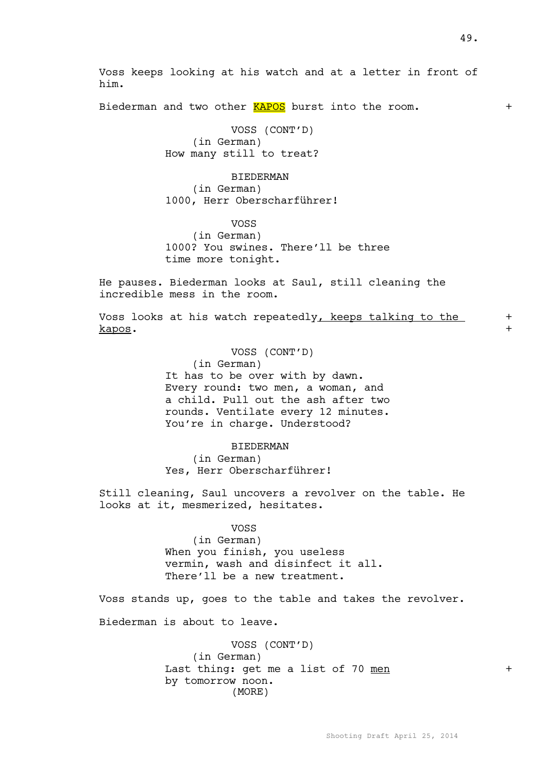Biederman and two other **KAPOS** burst into the room. +

VOSS (CONT'D) (in German) How many still to treat?

him.

BIEDERMAN (in German) 1000, Herr Oberscharführer!

VOSS

(in German) 1000? You swines. There'll be three time more tonight.

He pauses. Biederman looks at Saul, still cleaning the incredible mess in the room.

Voss looks at his watch repeatedly, keeps talking to the  $+$ kapos. +

VOSS (CONT'D)

(in German) It has to be over with by dawn. Every round: two men, a woman, and a child. Pull out the ash after two

rounds. Ventilate every 12 minutes. You're in charge. Understood?

BIEDERMAN (in German)

Yes, Herr Oberscharführer!

Still cleaning, Saul uncovers a revolver on the table. He looks at it, mesmerized, hesitates.

> VOSS (in German) When you finish, you useless vermin, wash and disinfect it all. There'll be a new treatment.

Voss stands up, goes to the table and takes the revolver.

Biederman is about to leave.

VOSS (CONT'D) (in German) Last thing: get me a list of 70 men + by tomorrow noon. (MORE)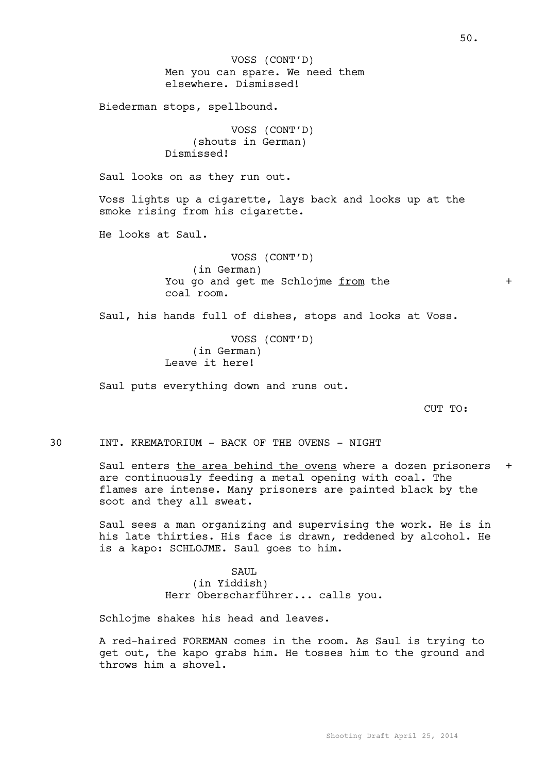Men you can spare. We need them elsewhere. Dismissed! Biederman stops, spellbound. VOSS (CONT'D) (shouts in German) Dismissed! Saul looks on as they run out. Voss lights up a cigarette, lays back and looks up at the smoke rising from his cigarette. He looks at Saul. VOSS (CONT'D) (in German) You go and get me Schlojme from the  $+$ coal room. Saul, his hands full of dishes, stops and looks at Voss. VOSS (CONT'D) (in German) Leave it here! Saul puts everything down and runs out. CUT TO: 30 INT. KREMATORIUM - BACK OF THE OVENS - NIGHT Saul enters the area behind the ovens where a dozen prisoners + are continuously feeding a metal opening with coal. The flames are intense. Many prisoners are painted black by the soot and they all sweat. Saul sees a man organizing and supervising the work. He is in his late thirties. His face is drawn, reddened by alcohol. He VOSS (CONT'D)

> SAUL (in Yiddish) Herr Oberscharführer... calls you.

Schlojme shakes his head and leaves.

is a kapo: SCHLOJME. Saul goes to him.

A red-haired FOREMAN comes in the room. As Saul is trying to get out, the kapo grabs him. He tosses him to the ground and throws him a shovel.

50.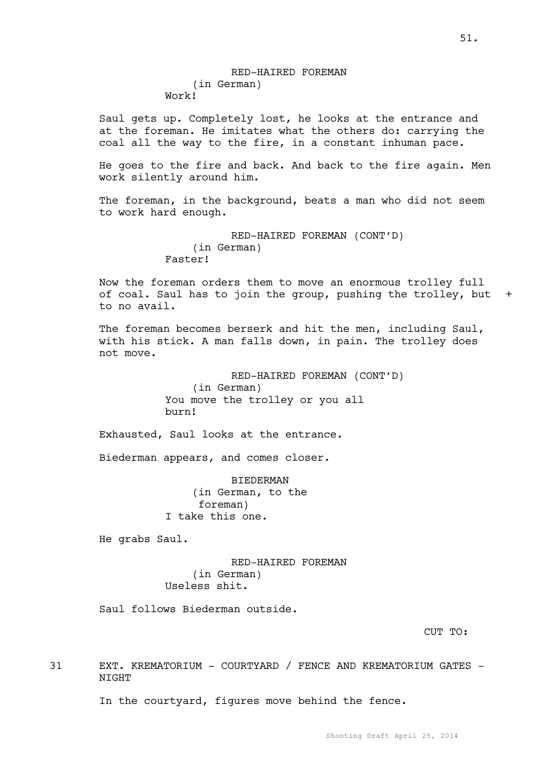Saul gets up. Completely lost, he looks at the entrance and at the foreman. He imitates what the others do: carrying the coal all the way to the fire, in a constant inhuman pace.

He goes to the fire and back. And back to the fire again. Men work silently around him.

The foreman, in the background, beats a man who did not seem to work hard enough.

```
RED-HAIRED FOREMAN (CONT'D)
    (in German)
Faster!
```
Now the foreman orders them to move an enormous trolley full of coal. Saul has to join the group, pushing the trolley, but + to no avail.

The foreman becomes berserk and hit the men, including Saul, with his stick. A man falls down, in pain. The trolley does not move.

> RED-HAIRED FOREMAN (CONT'D) (in German) You move the trolley or you all burn!

Exhausted, Saul looks at the entrance.

Biederman appears, and comes closer.

BIEDERMAN (in German, to the foreman) I take this one.

He grabs Saul.

RED-HAIRED FOREMAN (in German) Useless shit.

Saul follows Biederman outside.

CUT TO:

31 EXT. KREMATORIUM - COURTYARD / FENCE AND KREMATORIUM GATES - NIGHT

In the courtyard, figures move behind the fence.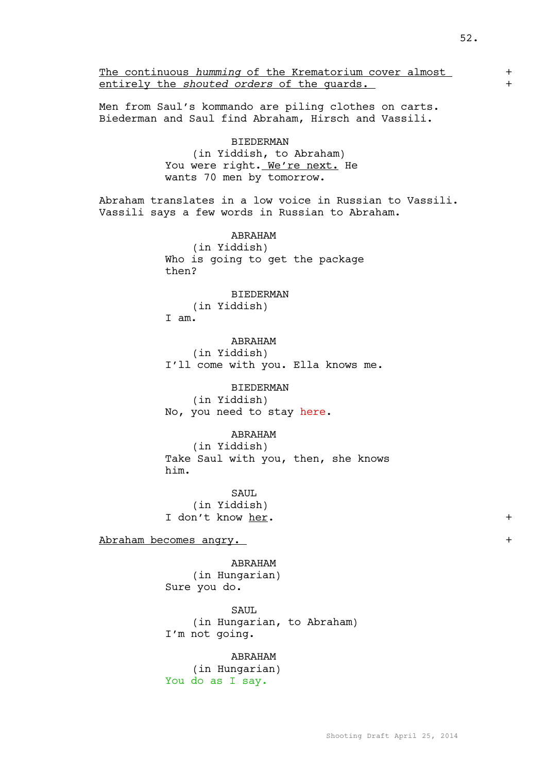The continuous *humming* of the Krematorium cover almost entirely the *shouted* orders of the quards. Men from Saul's kommando are piling clothes on carts. Biederman and Saul find Abraham, Hirsch and Vassili. BIEDERMAN (in Yiddish, to Abraham) You were right. We're next. He wants 70 men by tomorrow. Abraham translates in a low voice in Russian to Vassili. Vassili says a few words in Russian to Abraham. ABRAHAM (in Yiddish) Who is going to get the package then? BIEDERMAN (in Yiddish) I am. ABRAHAM (in Yiddish) I'll come with you. Ella knows me. BIEDERMAN (in Yiddish) No, you need to stay here. ABRAHAM (in Yiddish) Take Saul with you, then, she knows him. SAUL (in Yiddish) I don't know her.  $+$ Abraham becomes angry. ABRAHAM (in Hungarian) Sure you do. SAUL (in Hungarian, to Abraham) I'm not going. ABRAHAM (in Hungarian)

You do as I say.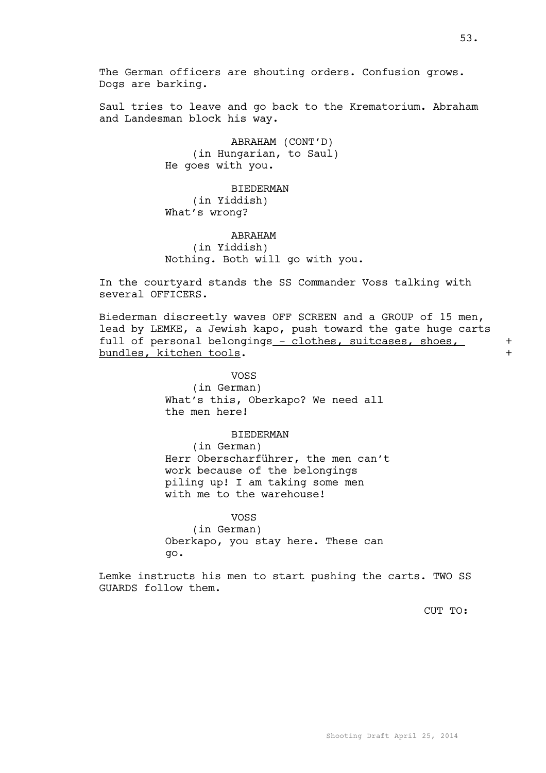Saul tries to leave and go back to the Krematorium. Abraham and Landesman block his way.

> ABRAHAM (CONT'D) (in Hungarian, to Saul) He goes with you.

**BIEDERMAN** (in Yiddish) What's wrong?

## ABRAHAM (in Yiddish) Nothing. Both will go with you.

In the courtyard stands the SS Commander Voss talking with several OFFICERS.

Biederman discreetly waves OFF SCREEN and a GROUP of 15 men, lead by LEMKE, a Jewish kapo, push toward the gate huge carts full of personal belongings - clothes, suitcases, shoes, + bundles, kitchen tools. +

> VOSS (in German) What's this, Oberkapo? We need all the men here!

> > BIEDERMAN

(in German) Herr Oberscharführer, the men can't work because of the belongings piling up! I am taking some men with me to the warehouse!

VOSS

(in German) Oberkapo, you stay here. These can go.

Lemke instructs his men to start pushing the carts. TWO SS GUARDS follow them.

CUT TO: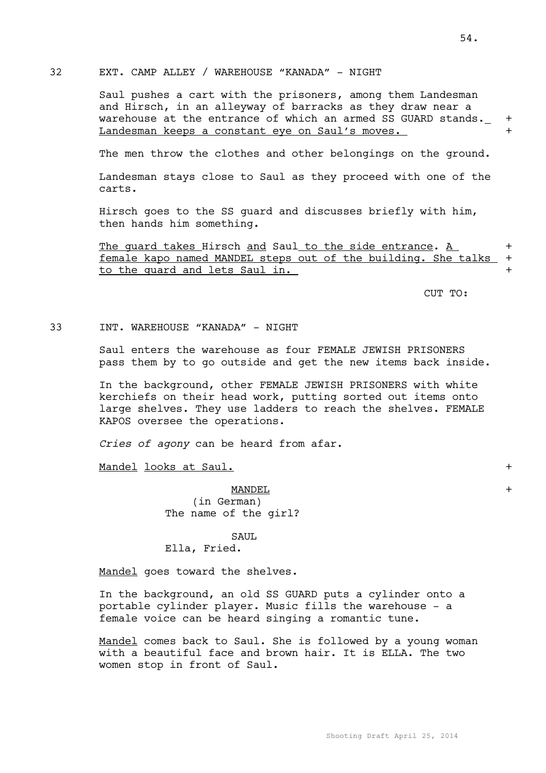### 32 EXT. CAMP ALLEY / WAREHOUSE "KANADA" - NIGHT

Saul pushes a cart with the prisoners, among them Landesman and Hirsch, in an alleyway of barracks as they draw near a warehouse at the entrance of which an armed SS GUARD stands.  $+$ Landesman keeps a constant eye on Saul's moves.

The men throw the clothes and other belongings on the ground.

Landesman stays close to Saul as they proceed with one of the carts.

Hirsch goes to the SS guard and discusses briefly with him, then hands him something.

The quard takes Hirsch and Saul to the side entrance. A female kapo named MANDEL steps out of the building. She talks + to the quard and lets Saul in.

CUT TO:

33 INT. WAREHOUSE "KANADA" - NIGHT

Saul enters the warehouse as four FEMALE JEWISH PRISONERS pass them by to go outside and get the new items back inside.

In the background, other FEMALE JEWISH PRISONERS with white kerchiefs on their head work, putting sorted out items onto large shelves. They use ladders to reach the shelves. FEMALE KAPOS oversee the operations.

*Cries of agony* can be heard from afar.

Mandel looks at Saul. +

 $\underline{\text{MANDEL}}$ (in German) The name of the girl?

#### SAUL

### Ella, Fried.

Mandel goes toward the shelves.

In the background, an old SS GUARD puts a cylinder onto a portable cylinder player. Music fills the warehouse - a female voice can be heard singing a romantic tune.

Mandel comes back to Saul. She is followed by a young woman with a beautiful face and brown hair. It is ELLA. The two women stop in front of Saul.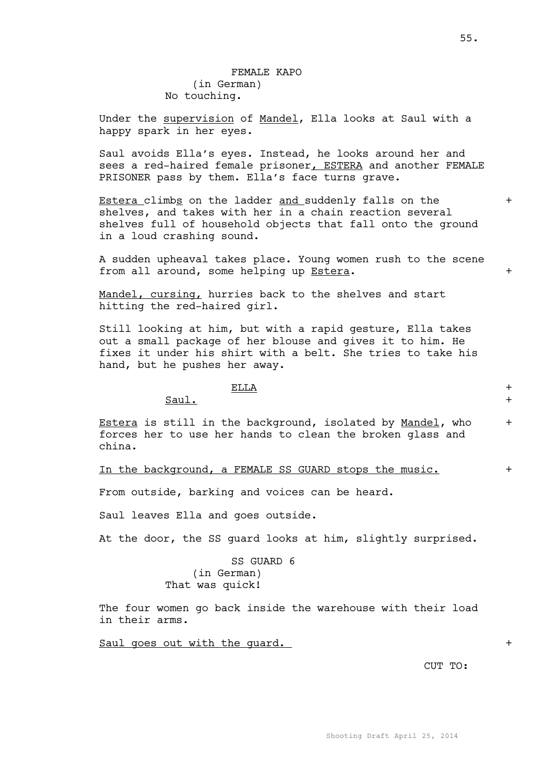55.

## FEMALE KAPO (in German) No touching.

Under the supervision of Mandel, Ella looks at Saul with a happy spark in her eyes.

Saul avoids Ella's eyes. Instead, he looks around her and sees a red-haired female prisoner, ESTERA and another FEMALE PRISONER pass by them. Ella's face turns grave.

Estera climbs on the ladder and suddenly falls on the  $+$ shelves, and takes with her in a chain reaction several shelves full of household objects that fall onto the ground in a loud crashing sound.

A sudden upheaval takes place. Young women rush to the scene from all around, some helping up Estera. +

Mandel, cursing, hurries back to the shelves and start hitting the red-haired girl.

Still looking at him, but with a rapid gesture, Ella takes out a small package of her blouse and gives it to him. He fixes it under his shirt with a belt. She tries to take his hand, but he pushes her away.

### $\overline{\text{ELLA}}$  +

 $Saul.$ 

Estera is still in the background, isolated by Mandel, who + forces her to use her hands to clean the broken glass and china.

In the background, a FEMALE SS GUARD stops the music. +

From outside, barking and voices can be heard.

Saul leaves Ella and goes outside.

At the door, the SS guard looks at him, slightly surprised.

## SS GUARD 6 (in German) That was quick!

The four women go back inside the warehouse with their load in their arms.

Saul goes out with the guard.  $+$ 

CUT TO: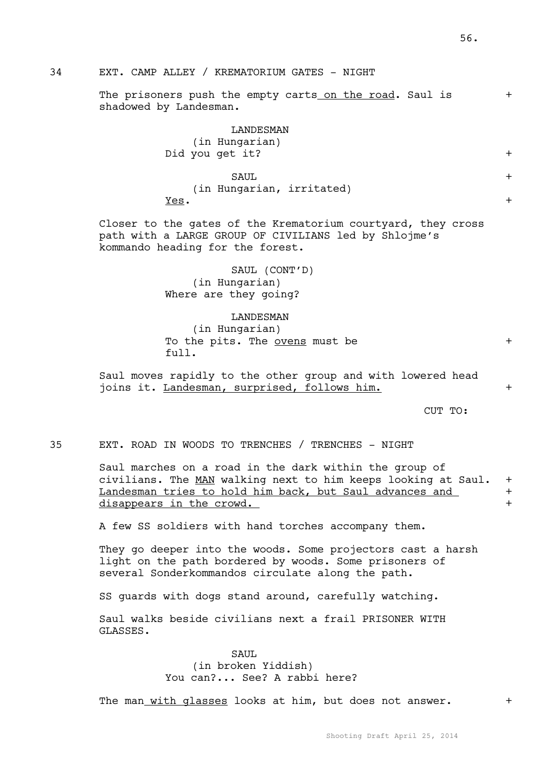# 34 EXT. CAMP ALLEY / KREMATORIUM GATES - NIGHT

The prisoners push the empty carts on the road. Saul is + shadowed by Landesman.

## LANDESMAN

|      | (in Hungarian)<br>Did you get it? |  |
|------|-----------------------------------|--|
|      | SAUL                              |  |
|      | (in Hungarian, irritated)         |  |
| Yes. |                                   |  |

Closer to the gates of the Krematorium courtyard, they cross path with a LARGE GROUP OF CIVILIANS led by Shlojme's kommando heading for the forest.

> SAUL (CONT'D) (in Hungarian) Where are they going?

#### LANDESMAN

(in Hungarian) To the pits. The <u>ovens</u> must be  $+$ full.

Saul moves rapidly to the other group and with lowered head joins it. Landesman, surprised, follows him. +

CUT TO:

35 EXT. ROAD IN WOODS TO TRENCHES / TRENCHES - NIGHT

Saul marches on a road in the dark within the group of civilians. The MAN walking next to him keeps looking at Saul. + Landesman tries to hold him back, but Saul advances and + disappears in the crowd.

A few SS soldiers with hand torches accompany them.

They go deeper into the woods. Some projectors cast a harsh light on the path bordered by woods. Some prisoners of several Sonderkommandos circulate along the path.

SS guards with dogs stand around, carefully watching.

Saul walks beside civilians next a frail PRISONER WITH GLASSES.

> SAUL (in broken Yiddish) You can?... See? A rabbi here?

The man with glasses looks at him, but does not answer. +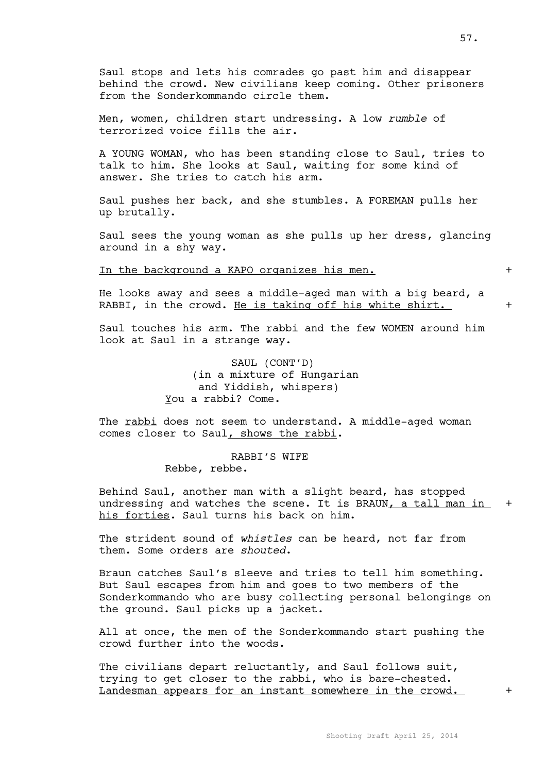Saul stops and lets his comrades go past him and disappear behind the crowd. New civilians keep coming. Other prisoners from the Sonderkommando circle them.

Men, women, children start undressing. A low *rumble* of terrorized voice fills the air.

A YOUNG WOMAN, who has been standing close to Saul, tries to talk to him. She looks at Saul, waiting for some kind of answer. She tries to catch his arm.

Saul pushes her back, and she stumbles. A FOREMAN pulls her up brutally.

Saul sees the young woman as she pulls up her dress, glancing around in a shy way.

In the background a KAPO organizes his men.  $+$ 

He looks away and sees a middle-aged man with a big beard, a RABBI, in the crowd. He is taking off his white shirt.

Saul touches his arm. The rabbi and the few WOMEN around him look at Saul in a strange way.

> SAUL (CONT'D) (in a mixture of Hungarian and Yiddish, whispers) You a rabbi? Come.

The rabbi does not seem to understand. A middle-aged woman comes closer to Saul, shows the rabbi.

> RABBI'S WIFE Rebbe, rebbe.

Behind Saul, another man with a slight beard, has stopped undressing and watches the scene. It is BRAUN, a tall man in  $+$ his forties. Saul turns his back on him.

The strident sound of *whistles* can be heard, not far from them. Some orders are *shouted*.

Braun catches Saul's sleeve and tries to tell him something. But Saul escapes from him and goes to two members of the Sonderkommando who are busy collecting personal belongings on the ground. Saul picks up a jacket.

All at once, the men of the Sonderkommando start pushing the crowd further into the woods.

The civilians depart reluctantly, and Saul follows suit, trying to get closer to the rabbi, who is bare-chested. Landesman appears for an instant somewhere in the crowd.  $+$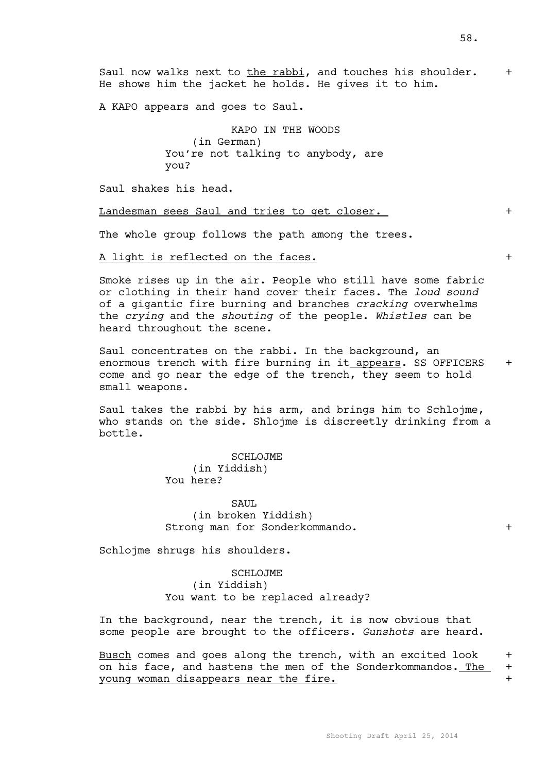Saul now walks next to the rabbi, and touches his shoulder.  $+$ He shows him the jacket he holds. He gives it to him.

A KAPO appears and goes to Saul.

KAPO IN THE WOODS (in German) You're not talking to anybody, are you?

Saul shakes his head.

Landesman sees Saul and tries to get closer.

The whole group follows the path among the trees.

A light is reflected on the faces.  $+$ 

Smoke rises up in the air. People who still have some fabric or clothing in their hand cover their faces. The *loud sound* of a gigantic fire burning and branches *cracking* overwhelms the *crying* and the *shouting* of the people. *Whistles* can be heard throughout the scene.

Saul concentrates on the rabbi. In the background, an enormous trench with fire burning in it appears. SS OFFICERS + come and go near the edge of the trench, they seem to hold small weapons.

Saul takes the rabbi by his arm, and brings him to Schlojme, who stands on the side. Shlojme is discreetly drinking from a bottle.

> SCHLOJME (in Yiddish) You here?

SAUL. (in broken Yiddish) Strong man for Sonderkommando. +

Schlojme shrugs his shoulders.

SCHLOJME (in Yiddish) You want to be replaced already?

In the background, near the trench, it is now obvious that some people are brought to the officers. *Gunshots* are heard.

Busch comes and goes along the trench, with an excited look  $+$ on his face, and hastens the men of the Sonderkommandos. The  $+$ young woman disappears near the fire.  $+$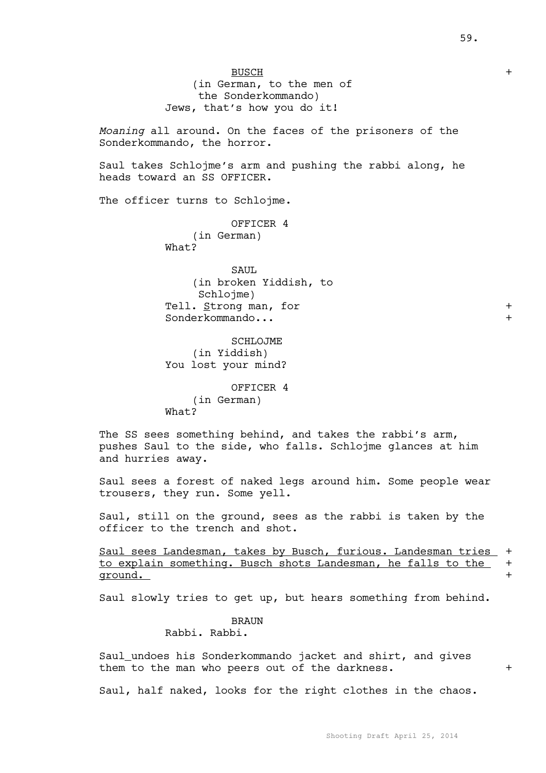BUSCH + (in German, to the men of the Sonderkommando) Jews, that's how you do it!

*Moaning* all around. On the faces of the prisoners of the Sonderkommando, the horror.

Saul takes Schlojme's arm and pushing the rabbi along, he heads toward an SS OFFICER.

The officer turns to Schlojme.

OFFICER 4 (in German) What?

SAUL. (in broken Yiddish, to Schlojme) Tell. Strong man, for  $+$ Sonderkommando...

SCHLOJME (in Yiddish) You lost your mind?

OFFICER 4 (in German) What?

The SS sees something behind, and takes the rabbi's arm, pushes Saul to the side, who falls. Schlojme glances at him and hurries away.

Saul sees a forest of naked legs around him. Some people wear trousers, they run. Some yell.

Saul, still on the ground, sees as the rabbi is taken by the officer to the trench and shot.

Saul sees Landesman, takes by Busch, furious. Landesman tries + to explain something. Busch shots Landesman, he falls to the + ground.  $+$ 

Saul slowly tries to get up, but hears something from behind.

BRAUN Rabbi. Rabbi.

Saul undoes his Sonderkommando jacket and shirt, and gives them to the man who peers out of the darkness.  $+$ 

Saul, half naked, looks for the right clothes in the chaos.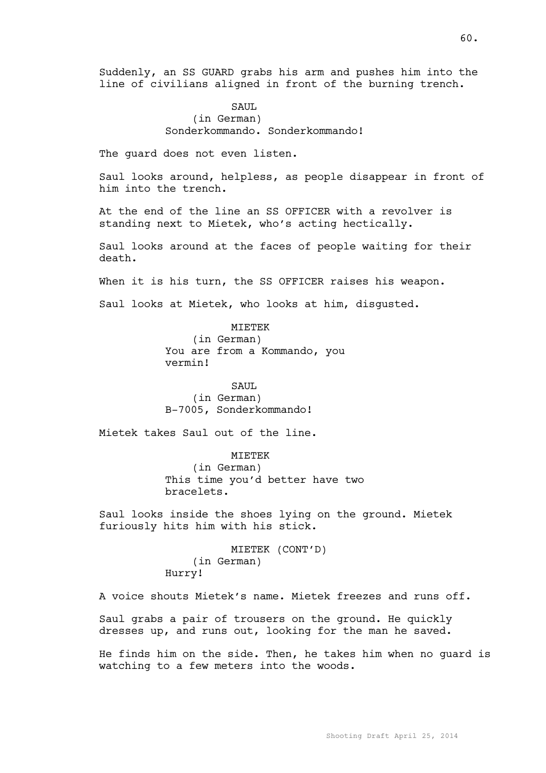Suddenly, an SS GUARD grabs his arm and pushes him into the line of civilians aligned in front of the burning trench.

## SAUL (in German) Sonderkommando. Sonderkommando!

The guard does not even listen.

Saul looks around, helpless, as people disappear in front of him into the trench.

At the end of the line an SS OFFICER with a revolver is standing next to Mietek, who's acting hectically.

Saul looks around at the faces of people waiting for their death.

When it is his turn, the SS OFFICER raises his weapon.

Saul looks at Mietek, who looks at him, disgusted.

MIETEK (in German) You are from a Kommando, you vermin!

SAUL (in German) B-7005, Sonderkommando!

Mietek takes Saul out of the line.

MIETEK (in German) This time you'd better have two bracelets.

Saul looks inside the shoes lying on the ground. Mietek furiously hits him with his stick.

> MIETEK (CONT'D) (in German) Hurry!

A voice shouts Mietek's name. Mietek freezes and runs off.

Saul grabs a pair of trousers on the ground. He quickly dresses up, and runs out, looking for the man he saved.

He finds him on the side. Then, he takes him when no guard is watching to a few meters into the woods.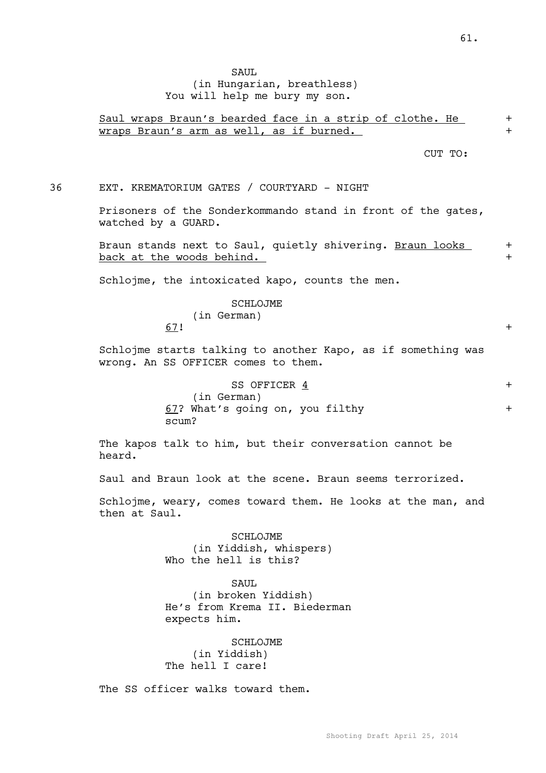## SAUL (in Hungarian, breathless) You will help me bury my son.

## Saul wraps Braun's bearded face in a strip of clothe. He + wraps Braun's arm as well, as if burned.

CUT TO:

36 EXT. KREMATORIUM GATES / COURTYARD - NIGHT

Prisoners of the Sonderkommando stand in front of the gates, watched by a GUARD.

Braun stands next to Saul, quietly shivering. Braun looks + back at the woods behind.  $+$ 

Schlojme, the intoxicated kapo, counts the men.

SCHLOJME

(in German) 67! +

Schlojme starts talking to another Kapo, as if something was wrong. An SS OFFICER comes to them.

| SS OFFICER 4                    |  |
|---------------------------------|--|
| (in German)                     |  |
| 67? What's going on, you filthy |  |
| scum?                           |  |

The kapos talk to him, but their conversation cannot be heard.

Saul and Braun look at the scene. Braun seems terrorized.

Schlojme, weary, comes toward them. He looks at the man, and then at Saul.

> SCHLOJME (in Yiddish, whispers) Who the hell is this?

> > SAUL.

(in broken Yiddish) He's from Krema II. Biederman expects him.

SCHLOJME (in Yiddish) The hell I care!

The SS officer walks toward them.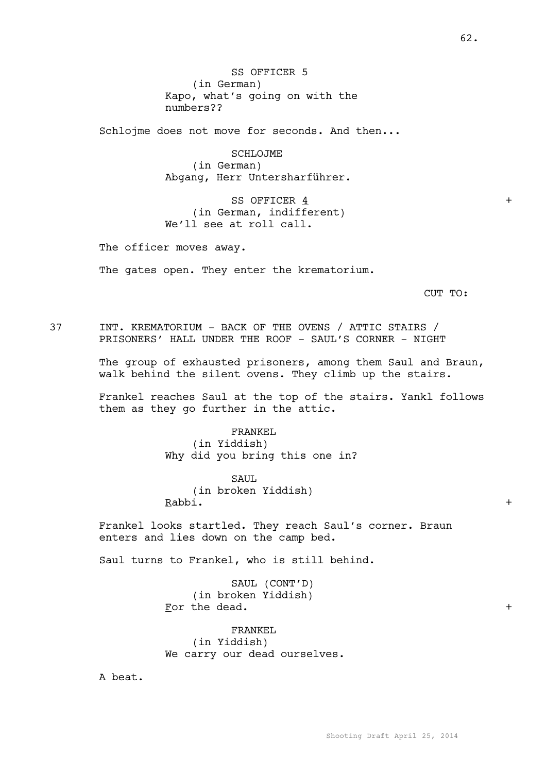SS OFFICER 5 (in German) Kapo, what's going on with the numbers??

Schlojme does not move for seconds. And then...

SCHLOJME (in German) Abgang, Herr Untersharführer.

SS OFFICER 4 + (in German, indifferent) We'll see at roll call.

The officer moves away.

The gates open. They enter the krematorium.

CUT TO:

37 INT. KREMATORIUM - BACK OF THE OVENS / ATTIC STAIRS / PRISONERS' HALL UNDER THE ROOF - SAUL'S CORNER - NIGHT

> The group of exhausted prisoners, among them Saul and Braun, walk behind the silent ovens. They climb up the stairs.

> Frankel reaches Saul at the top of the stairs. Yankl follows them as they go further in the attic.

> > FRANKEL

(in Yiddish) Why did you bring this one in?

SAUL (in broken Yiddish) Rabbi. +

Frankel looks startled. They reach Saul's corner. Braun enters and lies down on the camp bed.

Saul turns to Frankel, who is still behind.

SAUL (CONT'D) (in broken Yiddish) For the dead.  $+$ 

FRANKEL (in Yiddish) We carry our dead ourselves.

A beat.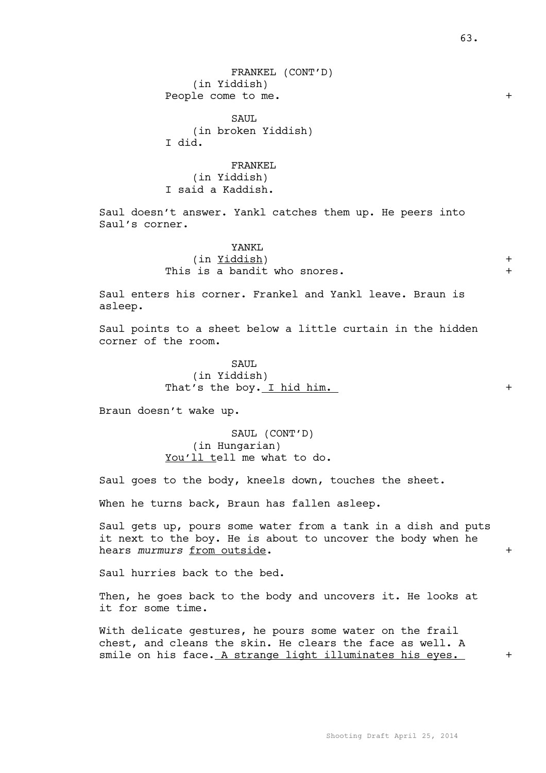FRANKEL (CONT'D) (in Yiddish) People come to me.  $+$ 

SAUL. (in broken Yiddish) I did.

FRANKEL (in Yiddish) I said a Kaddish.

Saul doesn't answer. Yankl catches them up. He peers into Saul's corner.

## YANKL (in Yiddish) + This is a bandit who snores.  $+$

Saul enters his corner. Frankel and Yankl leave. Braun is asleep.

Saul points to a sheet below a little curtain in the hidden corner of the room.

> SAUL. (in Yiddish) That's the boy. I hid him. +

Braun doesn't wake up.

SAUL (CONT'D) (in Hungarian) You'll tell me what to do.

Saul goes to the body, kneels down, touches the sheet.

When he turns back, Braun has fallen asleep.

Saul gets up, pours some water from a tank in a dish and puts it next to the boy. He is about to uncover the body when he hears murmurs from outside.  $+$ 

Saul hurries back to the bed.

Then, he goes back to the body and uncovers it. He looks at it for some time.

With delicate gestures, he pours some water on the frail chest, and cleans the skin. He clears the face as well. A smile on his face. A strange light illuminates his eyes. +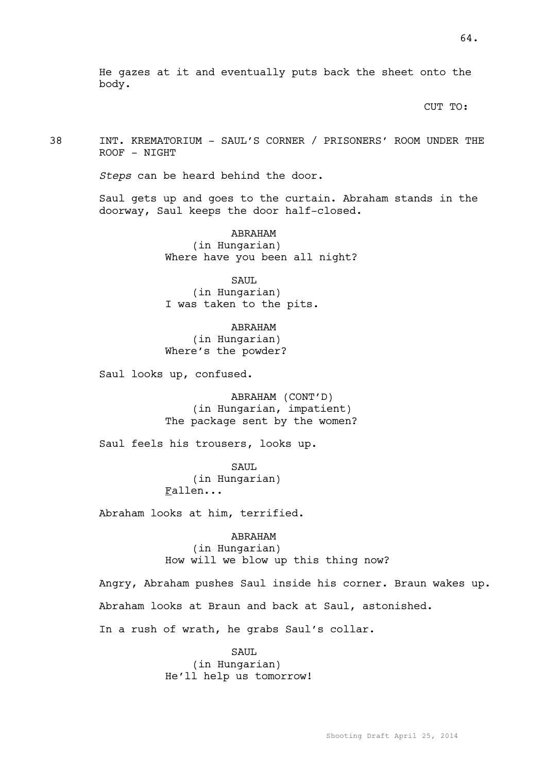He gazes at it and eventually puts back the sheet onto the body.

CUT TO:

38 INT. KREMATORIUM - SAUL'S CORNER / PRISONERS' ROOM UNDER THE ROOF - NIGHT

*Steps* can be heard behind the door.

Saul gets up and goes to the curtain. Abraham stands in the doorway, Saul keeps the door half-closed.

> ABRAHAM (in Hungarian) Where have you been all night?

SAUL (in Hungarian) I was taken to the pits.

ABRAHAM (in Hungarian) Where's the powder?

Saul looks up, confused.

ABRAHAM (CONT'D) (in Hungarian, impatient) The package sent by the women?

Saul feels his trousers, looks up.

SAUL (in Hungarian) Fallen...

Abraham looks at him, terrified.

ABRAHAM (in Hungarian) How will we blow up this thing now?

Angry, Abraham pushes Saul inside his corner. Braun wakes up.

Abraham looks at Braun and back at Saul, astonished.

In a rush of wrath, he grabs Saul's collar.

SAUL. (in Hungarian) He'll help us tomorrow!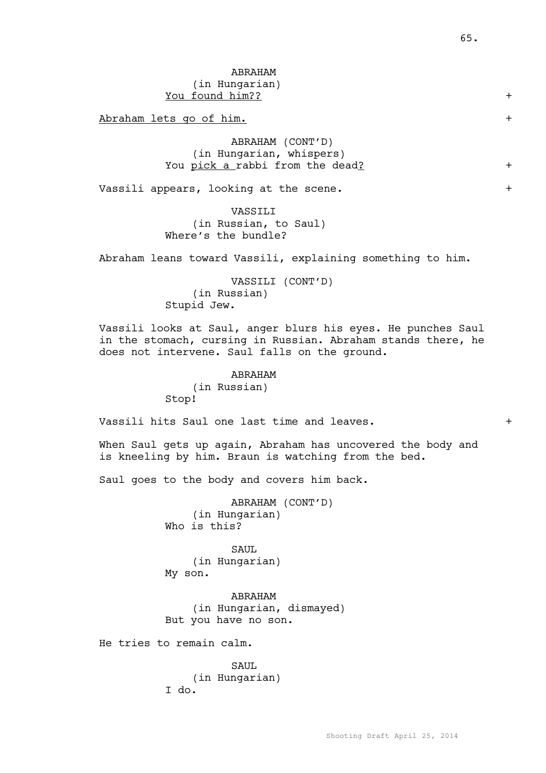# ABRAHAM (in Hungarian) You found him?? +

Abraham lets go of him.  $+$ 

ABRAHAM (CONT'D) (in Hungarian, whispers) You pick a rabbi from the dead? +

Vassili appears, looking at the scene. +

## VASSILI (in Russian, to Saul) Where's the bundle?

Abraham leans toward Vassili, explaining something to him.

VASSILI (CONT'D) (in Russian) Stupid Jew.

Vassili looks at Saul, anger blurs his eyes. He punches Saul in the stomach, cursing in Russian. Abraham stands there, he does not intervene. Saul falls on the ground.

> ABRAHAM (in Russian) Stop!

Vassili hits Saul one last time and leaves.  $+$ 

When Saul gets up again, Abraham has uncovered the body and is kneeling by him. Braun is watching from the bed.

Saul goes to the body and covers him back.

ABRAHAM (CONT'D) (in Hungarian) Who is this?

SAUL. (in Hungarian) My son.

ABRAHAM (in Hungarian, dismayed) But you have no son.

He tries to remain calm.

SAUL (in Hungarian) I do.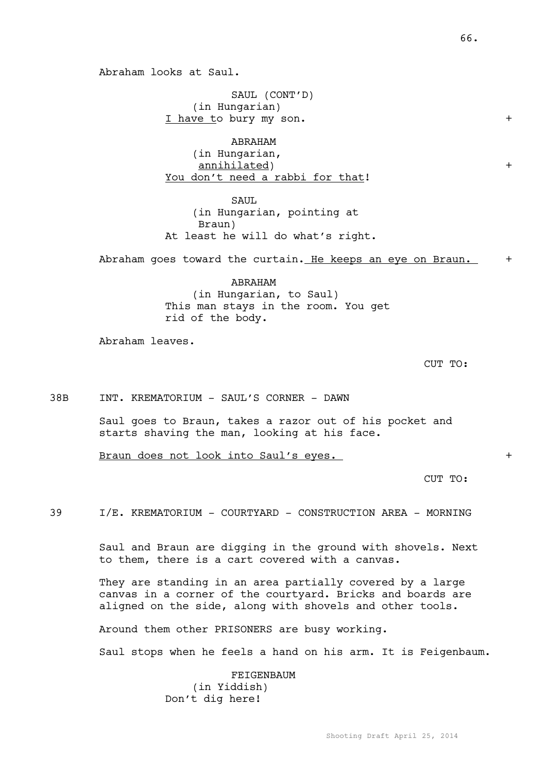66.

Abraham looks at Saul.

SAUL (CONT'D) (in Hungarian) I have to bury my son.  $+$ 

ABRAHAM (in Hungarian, annihilated) + You don't need a rabbi for that!

SAUL (in Hungarian, pointing at Braun) At least he will do what's right.

Abraham goes toward the curtain. He keeps an eye on Braun.  $+$ 

ABRAHAM (in Hungarian, to Saul) This man stays in the room. You get rid of the body.

Abraham leaves.

CUT TO:

### 38B INT. KREMATORIUM - SAUL'S CORNER - DAWN

Saul goes to Braun, takes a razor out of his pocket and starts shaving the man, looking at his face.

Braun does not look into Saul's eyes. +

CUT TO:

39 I/E. KREMATORIUM - COURTYARD - CONSTRUCTION AREA - MORNING

Saul and Braun are digging in the ground with shovels. Next to them, there is a cart covered with a canvas.

They are standing in an area partially covered by a large canvas in a corner of the courtyard. Bricks and boards are aligned on the side, along with shovels and other tools.

Around them other PRISONERS are busy working.

Saul stops when he feels a hand on his arm. It is Feigenbaum.

FEIGENBAUM (in Yiddish) Don't dig here!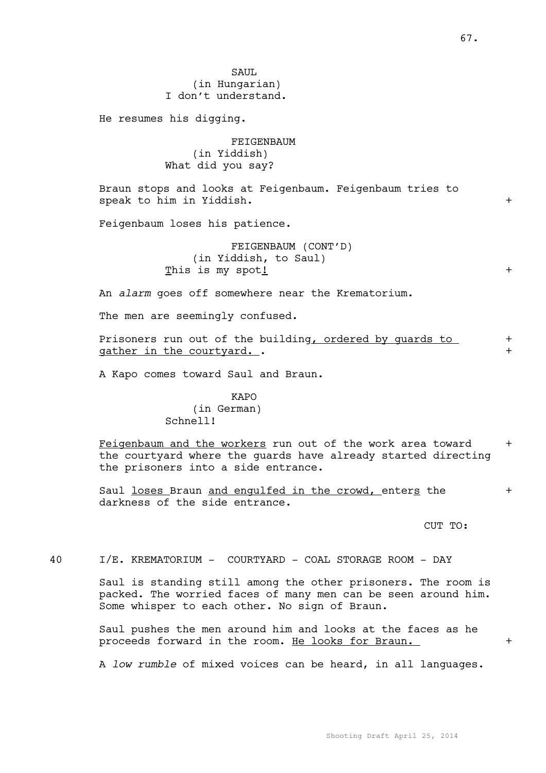SAUL (in Hungarian) I don't understand.

He resumes his digging.

FEIGENBAUM (in Yiddish) What did you say?

Braun stops and looks at Feigenbaum. Feigenbaum tries to speak to him in Yiddish.  $+$ 

Feigenbaum loses his patience.

FEIGENBAUM (CONT'D) (in Yiddish, to Saul) This is my spot!  $+$ 

An *alarm* goes off somewhere near the Krematorium.

The men are seemingly confused.

Prisoners run out of the building, ordered by quards to + gather in the courtyard...  $+$ 

A Kapo comes toward Saul and Braun.

KAPO (in German) Schnell!

Feigenbaum and the workers run out of the work area toward + the courtyard where the guards have already started directing the prisoners into a side entrance.

Saul loses Braun and engulfed in the crowd, enters the  $+$ darkness of the side entrance.

CUT TO:

40 I/E. KREMATORIUM - COURTYARD - COAL STORAGE ROOM - DAY

Saul is standing still among the other prisoners. The room is packed. The worried faces of many men can be seen around him. Some whisper to each other. No sign of Braun.

Saul pushes the men around him and looks at the faces as he proceeds forward in the room. He looks for Braun. +

A *low rumble* of mixed voices can be heard, in all languages.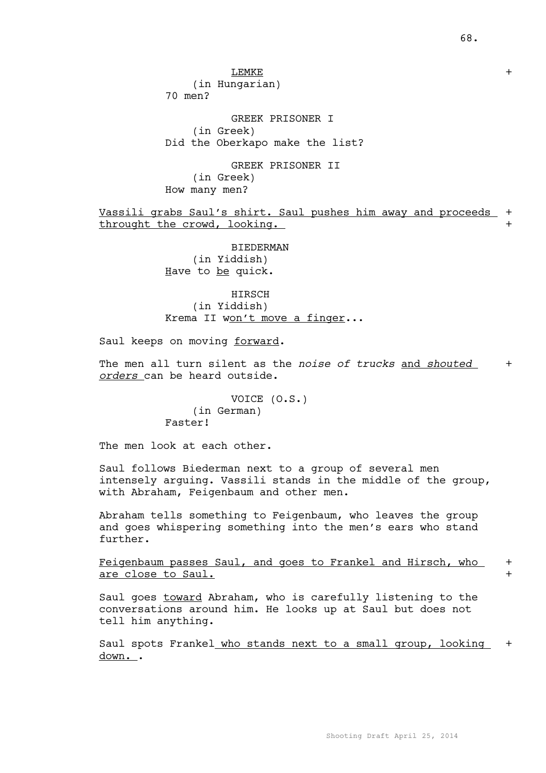LEMKE +

(in Hungarian)

70 men?

GREEK PRISONER I (in Greek) Did the Oberkapo make the list?

GREEK PRISONER II (in Greek) How many men?

Vassili grabs Saul's shirt. Saul pushes him away and proceeds + throught the crowd, looking.  $+$ 

> BIEDERMAN (in Yiddish) Have to be quick.

HIRSCH (in Yiddish) Krema II won't move a finger...

Saul keeps on moving forward.

The men all turn silent as the *noise of trucks* and *shouted* + *orders* can be heard outside.

> VOICE (O.S.) (in German) Faster!

The men look at each other.

Saul follows Biederman next to a group of several men intensely arguing. Vassili stands in the middle of the group, with Abraham, Feigenbaum and other men.

Abraham tells something to Feigenbaum, who leaves the group and goes whispering something into the men's ears who stand further.

Feigenbaum passes Saul, and goes to Frankel and Hirsch, who + are close to Saul.  $+$ 

Saul goes toward Abraham, who is carefully listening to the conversations around him. He looks up at Saul but does not tell him anything.

Saul spots Frankel who stands next to a small group, looking + <u>down.</u> .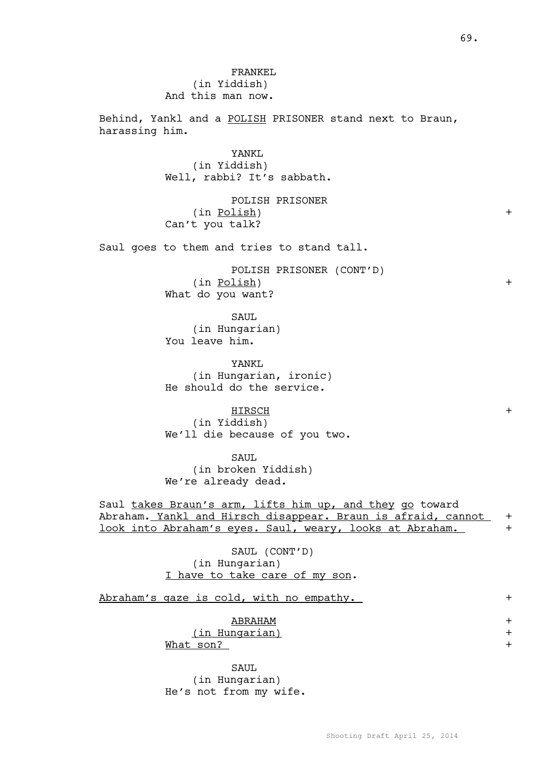FRANKEL (in Yiddish) And this man now.

Behind, Yankl and a POLISH PRISONER stand next to Braun, harassing him.

> YANKL (in Yiddish) Well, rabbi? It's sabbath.

POLISH PRISONER (in Polish) + Can't you talk?

Saul goes to them and tries to stand tall.

POLISH PRISONER (CONT'D) (in Polish) + What do you want?

SAUL (in Hungarian) You leave him.

YANK<sub>L</sub> (in Hungarian, ironic) He should do the service.

HIRSCH + (in Yiddish) We'll die because of you two.

SAUL (in broken Yiddish) We're already dead.

Saul takes Braun's arm, lifts him up, and they go toward Abraham. Yankl and Hirsch disappear. Braun is afraid, cannot + look into Abraham's eyes. Saul, weary, looks at Abraham.

> SAUL (CONT'D) (in Hungarian) I have to take care of my son.

Abraham's gaze is cold, with no empathy. +

ABRAHAM +

(in Hungarian) +

What son? +

SAUL (in Hungarian) He's not from my wife.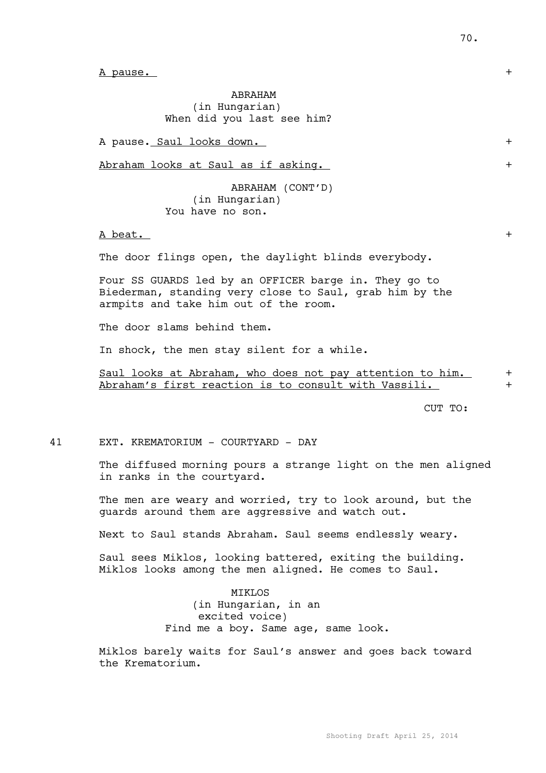A pause.  $+$ 

ABRAHAM (in Hungarian) When did you last see him?

A pause. Saul looks down.

Abraham looks at Saul as if asking.  $+$ 

ABRAHAM (CONT'D) (in Hungarian) You have no son.

 $A \text{ beat.}$  +

The door flings open, the daylight blinds everybody.

Four SS GUARDS led by an OFFICER barge in. They go to Biederman, standing very close to Saul, grab him by the armpits and take him out of the room.

The door slams behind them.

In shock, the men stay silent for a while.

Saul looks at Abraham, who does not pay attention to him.  $+$ Abraham's first reaction is to consult with Vassili.

CUT TO:

41 EXT. KREMATORIUM - COURTYARD - DAY

The diffused morning pours a strange light on the men aligned in ranks in the courtyard.

The men are weary and worried, try to look around, but the guards around them are aggressive and watch out.

Next to Saul stands Abraham. Saul seems endlessly weary.

Saul sees Miklos, looking battered, exiting the building. Miklos looks among the men aligned. He comes to Saul.

> MIKLOS (in Hungarian, in an excited voice) Find me a boy. Same age, same look.

Miklos barely waits for Saul's answer and goes back toward the Krematorium.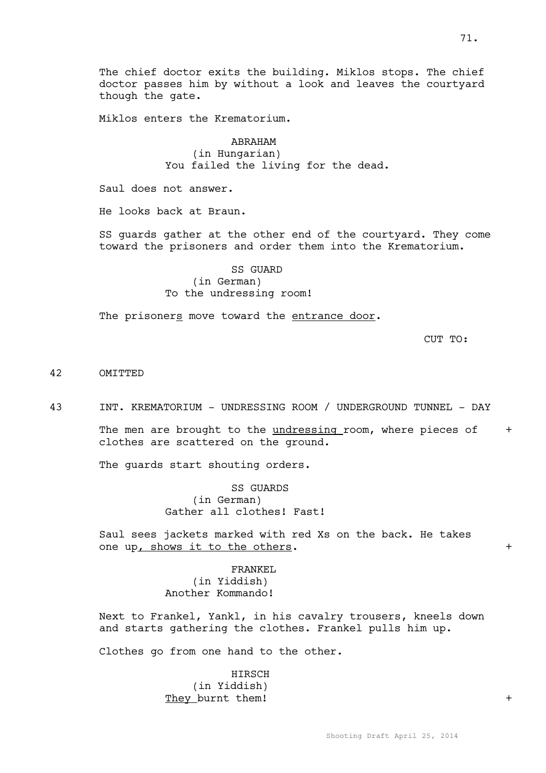The chief doctor exits the building. Miklos stops. The chief doctor passes him by without a look and leaves the courtyard though the gate.

Miklos enters the Krematorium.

ABRAHAM (in Hungarian) You failed the living for the dead.

Saul does not answer.

He looks back at Braun.

SS guards gather at the other end of the courtyard. They come toward the prisoners and order them into the Krematorium.

> SS GUARD (in German) To the undressing room!

The prisoners move toward the entrance door.

CUT TO:

#### 42 OMITTED

43 INT. KREMATORIUM - UNDRESSING ROOM / UNDERGROUND TUNNEL - DAY

The men are brought to the  $undressing$  room, where pieces of  $+$ clothes are scattered on the ground.

The guards start shouting orders.

SS GUARDS (in German) Gather all clothes! Fast!

Saul sees jackets marked with red Xs on the back. He takes one up, shows it to the others.  $+$ 

> FRANKEL (in Yiddish) Another Kommando!

Next to Frankel, Yankl, in his cavalry trousers, kneels down and starts gathering the clothes. Frankel pulls him up.

Clothes go from one hand to the other.

HIRSCH (in Yiddish) They burnt them!  $+$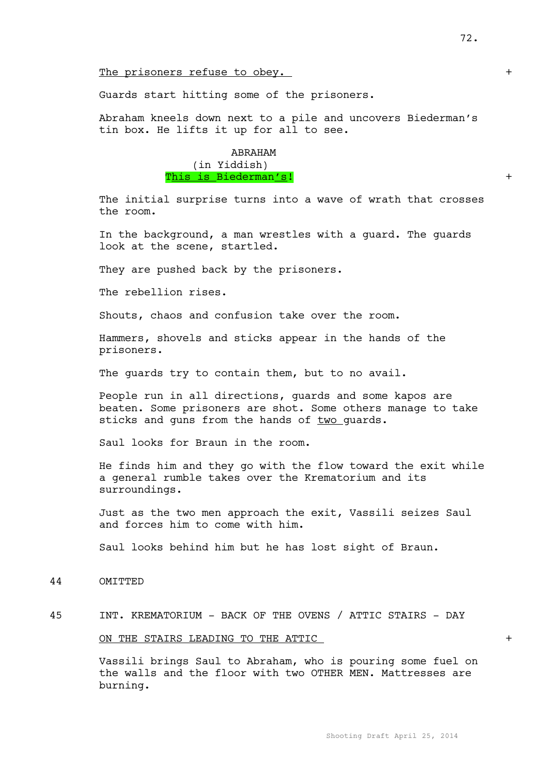## The prisoners refuse to obey.  $+$

### Guards start hitting some of the prisoners.

Abraham kneels down next to a pile and uncovers Biederman's tin box. He lifts it up for all to see.

> ABRAHAM (in Yiddish) This is Biederman's!

The initial surprise turns into a wave of wrath that crosses the room.

In the background, a man wrestles with a guard. The guards look at the scene, startled.

They are pushed back by the prisoners.

The rebellion rises.

Shouts, chaos and confusion take over the room.

Hammers, shovels and sticks appear in the hands of the prisoners.

The guards try to contain them, but to no avail.

People run in all directions, guards and some kapos are beaten. Some prisoners are shot. Some others manage to take sticks and guns from the hands of two guards.

Saul looks for Braun in the room.

He finds him and they go with the flow toward the exit while a general rumble takes over the Krematorium and its surroundings.

Just as the two men approach the exit, Vassili seizes Saul and forces him to come with him.

Saul looks behind him but he has lost sight of Braun.

44 OMITTED

### 45 INT. KREMATORIUM - BACK OF THE OVENS / ATTIC STAIRS - DAY

#### ON THE STAIRS LEADING TO THE ATTIC  $+$

Vassili brings Saul to Abraham, who is pouring some fuel on the walls and the floor with two OTHER MEN. Mattresses are burning.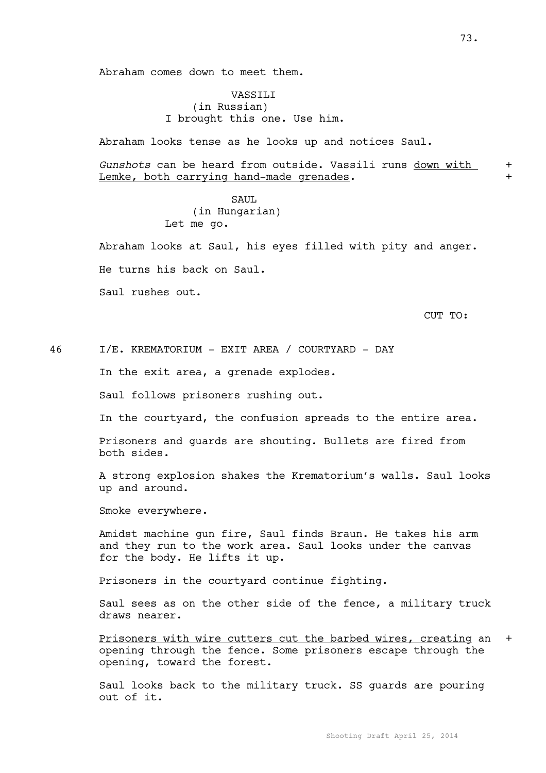Abraham comes down to meet them.

# VASSILI (in Russian) I brought this one. Use him.

Abraham looks tense as he looks up and notices Saul.

*Gunshots* can be heard from outside. Vassili runs down with + Lemke, both carrying hand-made grenades.

## SAUL (in Hungarian) Let me go.

Abraham looks at Saul, his eyes filled with pity and anger. He turns his back on Saul.

Saul rushes out.

CUT TO:

46 I/E. KREMATORIUM - EXIT AREA / COURTYARD - DAY

In the exit area, a grenade explodes.

Saul follows prisoners rushing out.

In the courtyard, the confusion spreads to the entire area.

Prisoners and guards are shouting. Bullets are fired from both sides.

A strong explosion shakes the Krematorium's walls. Saul looks up and around.

Smoke everywhere.

Amidst machine gun fire, Saul finds Braun. He takes his arm and they run to the work area. Saul looks under the canvas for the body. He lifts it up.

Prisoners in the courtyard continue fighting.

Saul sees as on the other side of the fence, a military truck draws nearer.

Prisoners with wire cutters cut the barbed wires, creating an + opening through the fence. Some prisoners escape through the opening, toward the forest.

Saul looks back to the military truck. SS guards are pouring out of it.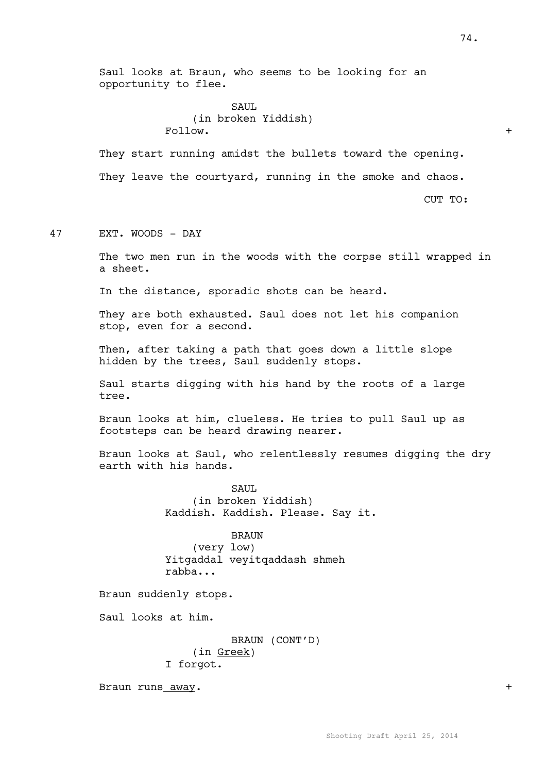Saul looks at Braun, who seems to be looking for an opportunity to flee.

> SAUL. (in broken Yiddish) Follow.  $+$

They start running amidst the bullets toward the opening. They leave the courtyard, running in the smoke and chaos.

CUT TO:

47 EXT. WOODS - DAY

The two men run in the woods with the corpse still wrapped in a sheet.

In the distance, sporadic shots can be heard.

They are both exhausted. Saul does not let his companion stop, even for a second.

Then, after taking a path that goes down a little slope hidden by the trees, Saul suddenly stops.

Saul starts digging with his hand by the roots of a large tree.

Braun looks at him, clueless. He tries to pull Saul up as footsteps can be heard drawing nearer.

Braun looks at Saul, who relentlessly resumes digging the dry earth with his hands.

> SAUL. (in broken Yiddish) Kaddish. Kaddish. Please. Say it.

BRAUN (very low) Yitgaddal veyitqaddash shmeh rabba...

Braun suddenly stops.

Saul looks at him.

BRAUN (CONT'D) (in Greek) I forgot.

Braun runs away. +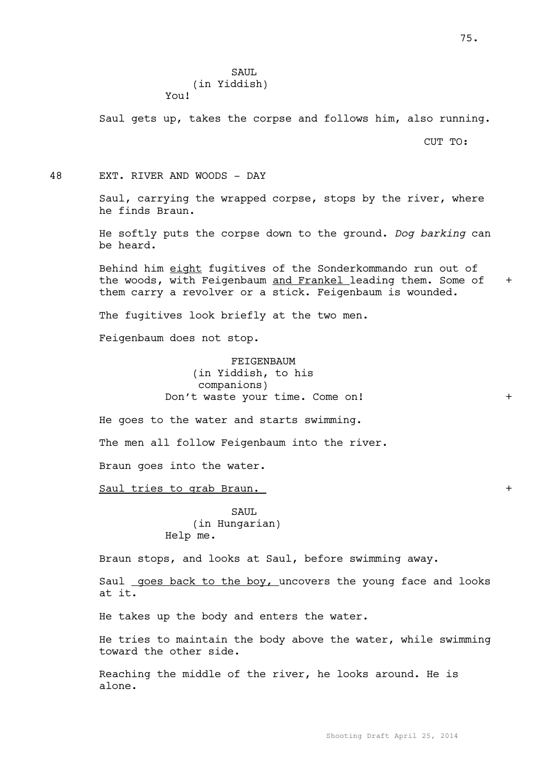# SAUL (in Yiddish) You!

Saul gets up, takes the corpse and follows him, also running.

CUT TO:

48 EXT. RIVER AND WOODS - DAY

Saul, carrying the wrapped corpse, stops by the river, where he finds Braun.

He softly puts the corpse down to the ground. *Dog barking* can be heard.

Behind him eight fugitives of the Sonderkommando run out of the woods, with Feigenbaum and Frankel leading them. Some of + them carry a revolver or a stick. Feigenbaum is wounded.

The fugitives look briefly at the two men.

Feigenbaum does not stop.

FEIGENBAUM (in Yiddish, to his companions) Don't waste your time. Come on! +

He goes to the water and starts swimming.

The men all follow Feigenbaum into the river.

Braun goes into the water.

Saul tries to grab Braun.  $+$ 

SAUL (in Hungarian) Help me.

Braun stops, and looks at Saul, before swimming away.

Saul goes back to the boy, uncovers the young face and looks at it.

He takes up the body and enters the water.

He tries to maintain the body above the water, while swimming toward the other side.

Reaching the middle of the river, he looks around. He is alone.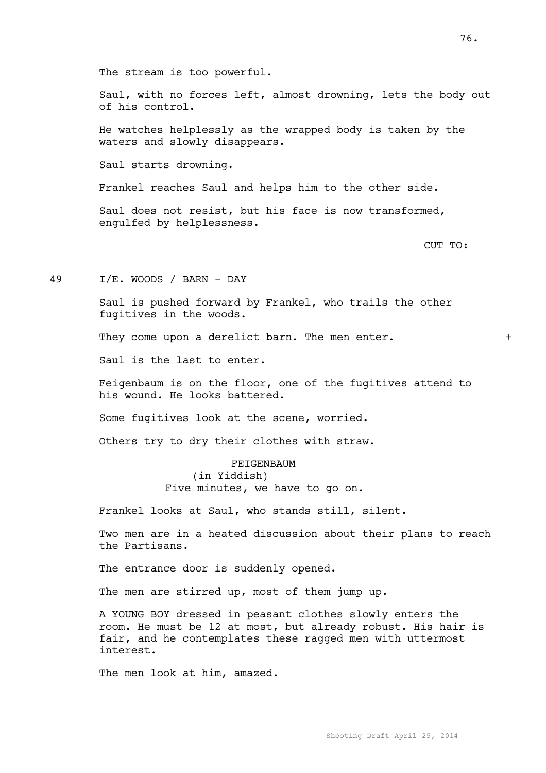The stream is too powerful.

Saul, with no forces left, almost drowning, lets the body out of his control.

He watches helplessly as the wrapped body is taken by the waters and slowly disappears.

Saul starts drowning.

Frankel reaches Saul and helps him to the other side.

Saul does not resist, but his face is now transformed, engulfed by helplessness.

CUT TO:

49 I/E. WOODS / BARN - DAY

Saul is pushed forward by Frankel, who trails the other fugitives in the woods.

They come upon a derelict barn. The men enter.  $+$ 

Saul is the last to enter.

Feigenbaum is on the floor, one of the fugitives attend to his wound. He looks battered.

Some fugitives look at the scene, worried.

Others try to dry their clothes with straw.

FEIGENBAUM (in Yiddish) Five minutes, we have to go on.

Frankel looks at Saul, who stands still, silent.

Two men are in a heated discussion about their plans to reach the Partisans.

The entrance door is suddenly opened.

The men are stirred up, most of them jump up.

A YOUNG BOY dressed in peasant clothes slowly enters the room. He must be 12 at most, but already robust. His hair is fair, and he contemplates these ragged men with uttermost interest.

The men look at him, amazed.